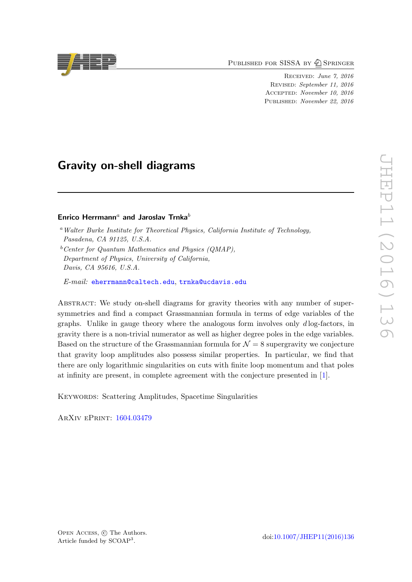PUBLISHED FOR SISSA BY 2 SPRINGER

Received: June 7, 2016 Revised: September 11, 2016 Accepted: November 10, 2016 Published: November 22, 2016

# Gravity on-shell diagrams

### Enrico Herrmann<sup>a</sup> and Jaroslav Trnka<sup>b</sup>

E-mail: [eherrmann@caltech.edu](mailto:eherrmann@caltech.edu), [trnka@ucdavis.edu](mailto:trnka@ucdavis.edu)

ABSTRACT: We study on-shell diagrams for gravity theories with any number of supersymmetries and find a compact Grassmannian formula in terms of edge variables of the graphs. Unlike in gauge theory where the analogous form involves only  $d \log$ -factors, in gravity there is a non-trivial numerator as well as higher degree poles in the edge variables. Based on the structure of the Grassmannian formula for  $\mathcal{N} = 8$  supergravity we conjecture that gravity loop amplitudes also possess similar properties. In particular, we find that there are only logarithmic singularities on cuts with finite loop momentum and that poles at infinity are present, in complete agreement with the conjecture presented in [\[1\]](#page-35-0).

KEYWORDS: Scattering Amplitudes, Spacetime Singularities

ArXiv ePrint: [1604.03479](https://arxiv.org/abs/1604.03479)





<sup>a</sup>Walter Burke Institute for Theoretical Physics, California Institute of Technology, Pasadena, CA 91125, U.S.A.

 $b$ <sup>b</sup>Center for Quantum Mathematics and Physics (QMAP), Department of Physics, University of California, Davis, CA 95616, U.S.A.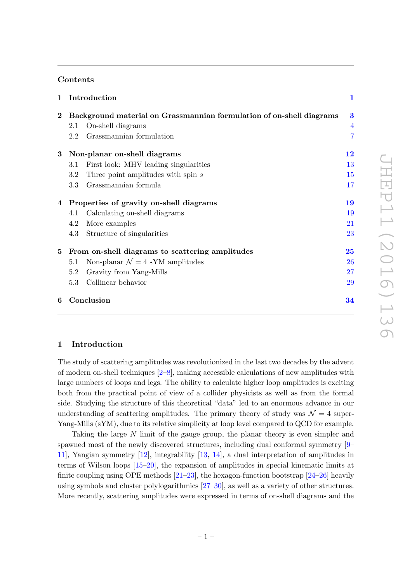### Contents

| $\mathbf{1}$ |                                                 | Introduction                                                         | $\mathbf{1}$   |
|--------------|-------------------------------------------------|----------------------------------------------------------------------|----------------|
| $\bf{2}^-$   |                                                 | Background material on Grassmannian formulation of on-shell diagrams | 3              |
|              | 2.1                                             | On-shell diagrams                                                    | $\overline{4}$ |
|              | 2.2                                             | Grassmannian formulation                                             | $\overline{7}$ |
|              |                                                 | 3 Non-planar on-shell diagrams                                       | 12             |
|              | 3.1                                             | First look: MHV leading singularities                                | 13             |
|              | 3.2                                             | Three point amplitudes with spin s                                   | 15             |
|              | 3.3                                             | Grassmannian formula                                                 | 17             |
|              | 4 Properties of gravity on-shell diagrams       |                                                                      | 19             |
|              | 4.1                                             | Calculating on-shell diagrams                                        | 19             |
|              | 4.2                                             | More examples                                                        | 21             |
|              | 4.3                                             | Structure of singularities                                           | 23             |
| 5            | From on-shell diagrams to scattering amplitudes |                                                                      | 25             |
|              | 5.1                                             | Non-planar $\mathcal{N}=4$ sYM amplitudes                            | 26             |
|              | 5.2                                             | Gravity from Yang-Mills                                              | 27             |
|              | 5.3                                             | Collinear behavior                                                   | 29             |
| 6            |                                                 | Conclusion                                                           | 34             |
|              |                                                 |                                                                      |                |

### <span id="page-1-0"></span>1 Introduction

The study of scattering amplitudes was revolutionized in the last two decades by the advent of modern on-shell techniques [\[2–](#page-35-1)[8\]](#page-36-0), making accessible calculations of new amplitudes with large numbers of loops and legs. The ability to calculate higher loop amplitudes is exciting both from the practical point of view of a collider physicists as well as from the formal side. Studying the structure of this theoretical "data" led to an enormous advance in our understanding of scattering amplitudes. The primary theory of study was  $\mathcal{N} = 4$  super-Yang-Mills (sYM), due to its relative simplicity at loop level compared to QCD for example.

Taking the large N limit of the gauge group, the planar theory is even simpler and spawned most of the newly discovered structures, including dual conformal symmetry [\[9–](#page-36-1) [11\]](#page-36-2), Yangian symmetry [\[12\]](#page-36-3), integrability [\[13,](#page-36-4) [14\]](#page-36-5), a dual interpretation of amplitudes in terms of Wilson loops [\[15–](#page-36-6)[20\]](#page-36-7), the expansion of amplitudes in special kinematic limits at finite coupling using OPE methods  $[21-23]$  $[21-23]$ , the hexagon-function bootstrap  $[24-26]$  heavily using symbols and cluster polylogarithmics [\[27–](#page-37-1)[30\]](#page-37-2), as well as a variety of other structures. More recently, scattering amplitudes were expressed in terms of on-shell diagrams and the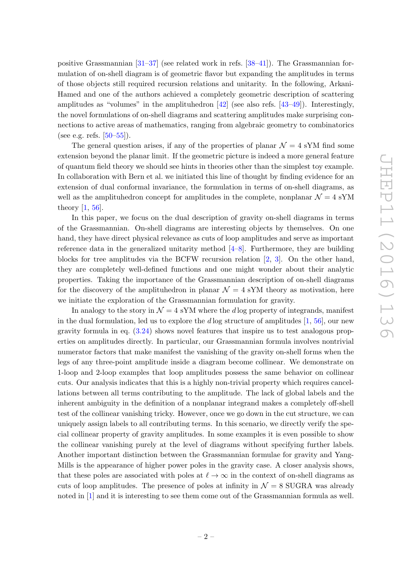positive Grassmannian  $[31-37]$  $[31-37]$  (see related work in refs.  $[38-41]$  $[38-41]$ ). The Grassmannian formulation of on-shell diagram is of geometric flavor but expanding the amplitudes in terms of those objects still required recursion relations and unitarity. In the following, Arkani-Hamed and one of the authors achieved a completely geometric description of scattering amplitudes as "volumes" in the amplituhedron  $[42]$  (see also refs.  $[43-49]$ ). Interestingly, the novel formulations of on-shell diagrams and scattering amplitudes make surprising connections to active areas of mathematics, ranging from algebraic geometry to combinatorics (see e.g. refs.  $[50-55]$  $[50-55]$ ).

The general question arises, if any of the properties of planar  $\mathcal{N} = 4$  sYM find some extension beyond the planar limit. If the geometric picture is indeed a more general feature of quantum field theory we should see hints in theories other than the simplest toy example. In collaboration with Bern et al. we initiated this line of thought by finding evidence for an extension of dual conformal invariance, the formulation in terms of on-shell diagrams, as well as the amplituhedron concept for amplitudes in the complete, nonplanar  $\mathcal{N} = 4$  sYM theory [\[1,](#page-35-0) [56\]](#page-38-3).

In this paper, we focus on the dual description of gravity on-shell diagrams in terms of the Grassmannian. On-shell diagrams are interesting objects by themselves. On one hand, they have direct physical relevance as cuts of loop amplitudes and serve as important reference data in the generalized unitarity method  $[4–8]$  $[4–8]$ . Furthermore, they are building blocks for tree amplitudes via the BCFW recursion relation [\[2,](#page-35-1) [3\]](#page-35-3). On the other hand, they are completely well-defined functions and one might wonder about their analytic properties. Taking the importance of the Grassmannian description of on-shell diagrams for the discovery of the amplituhedron in planar  $\mathcal{N} = 4$  sYM theory as motivation, here we initiate the exploration of the Grassmannian formulation for gravity.

In analogy to the story in  $\mathcal{N} = 4$  sYM where the d log property of integrands, manifest in the dual formulation, led us to explore the d log structure of amplitudes  $[1, 56]$  $[1, 56]$ , our new gravity formula in eq. [\(3.24\)](#page-18-0) shows novel features that inspire us to test analogous properties on amplitudes directly. In particular, our Grassmannian formula involves nontrivial numerator factors that make manifest the vanishing of the gravity on-shell forms when the legs of any three-point amplitude inside a diagram become collinear. We demonstrate on 1-loop and 2-loop examples that loop amplitudes possess the same behavior on collinear cuts. Our analysis indicates that this is a highly non-trivial property which requires cancellations between all terms contributing to the amplitude. The lack of global labels and the inherent ambiguity in the definition of a nonplanar integrand makes a completely off-shell test of the collinear vanishing tricky. However, once we go down in the cut structure, we can uniquely assign labels to all contributing terms. In this scenario, we directly verify the special collinear property of gravity amplitudes. In some examples it is even possible to show the collinear vanishing purely at the level of diagrams without specifying further labels. Another important distinction between the Grassmannian formulae for gravity and Yang-Mills is the appearance of higher power poles in the gravity case. A closer analysis shows, that these poles are associated with poles at  $\ell \to \infty$  in the context of on-shell diagrams as cuts of loop amplitudes. The presence of poles at infinity in  $\mathcal{N}=8$  SUGRA was already noted in [\[1\]](#page-35-0) and it is interesting to see them come out of the Grassmannian formula as well.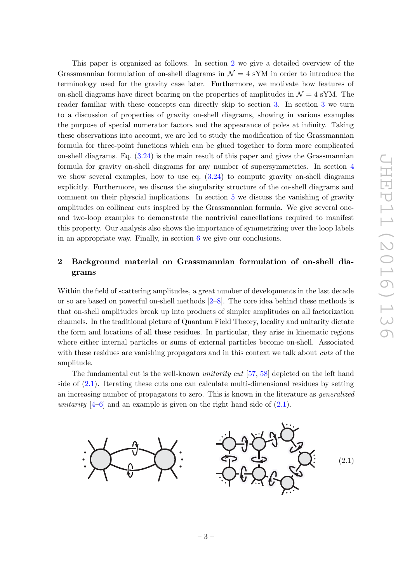This paper is organized as follows. In section [2](#page-3-0) we give a detailed overview of the Grassmannian formulation of on-shell diagrams in  $\mathcal{N} = 4$  sYM in order to introduce the terminology used for the gravity case later. Furthermore, we motivate how features of on-shell diagrams have direct bearing on the properties of amplitudes in  $\mathcal{N} = 4$  sYM. The reader familiar with these concepts can directly skip to section [3.](#page-12-0) In section [3](#page-12-0) we turn to a discussion of properties of gravity on-shell diagrams, showing in various examples the purpose of special numerator factors and the appearance of poles at infinity. Taking these observations into account, we are led to study the modification of the Grassmannian formula for three-point functions which can be glued together to form more complicated on-shell diagrams. Eq.  $(3.24)$  is the main result of this paper and gives the Grassmannian formula for gravity on-shell diagrams for any number of supersymmetries. In section [4](#page-19-0) we show several examples, how to use eq. [\(3.24\)](#page-18-0) to compute gravity on-shell diagrams explicitly. Furthermore, we discuss the singularity structure of the on-shell diagrams and comment on their physcial implications. In section [5](#page-25-0) we discuss the vanishing of gravity amplitudes on collinear cuts inspired by the Grassmannian formula. We give several oneand two-loop examples to demonstrate the nontrivial cancellations required to manifest this property. Our analysis also shows the importance of symmetrizing over the loop labels in an appropriate way. Finally, in section  $6 \text{ we give our conclusions.}$  $6 \text{ we give our conclusions.}$ 

# <span id="page-3-0"></span>2 Background material on Grassmannian formulation of on-shell diagrams

Within the field of scattering amplitudes, a great number of developments in the last decade or so are based on powerful on-shell methods  $[2-8]$  $[2-8]$ . The core idea behind these methods is that on-shell amplitudes break up into products of simpler amplitudes on all factorization channels. In the traditional picture of Quantum Field Theory, locality and unitarity dictate the form and locations of all these residues. In particular, they arise in kinematic regions where either internal particles or sums of external particles become on-shell. Associated with these residues are vanishing propagators and in this context we talk about *cuts* of the amplitude.

The fundamental cut is the well-known *unitarity cut* [\[57,](#page-38-4) [58\]](#page-38-5) depicted on the left hand side of [\(2.1\)](#page-3-1). Iterating these cuts one can calculate multi-dimensional residues by setting an increasing number of propagators to zero. This is known in the literature as generalized unitarity  $[4-6]$  $[4-6]$  and an example is given on the right hand side of  $(2.1)$ .

<span id="page-3-1"></span>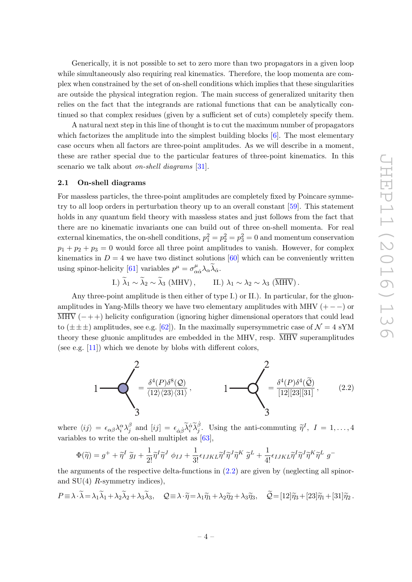Generically, it is not possible to set to zero more than two propagators in a given loop while simultaneously also requiring real kinematics. Therefore, the loop momenta are complex when constrained by the set of on-shell conditions which implies that these singularities are outside the physical integration region. The main success of generalized unitarity then relies on the fact that the integrands are rational functions that can be analytically continued so that complex residues (given by a sufficient set of cuts) completely specify them.

A natural next step in this line of thought is to cut the maximum number of propagators which factorizes the amplitude into the simplest building blocks  $[6]$ . The most elementary case occurs when all factors are three-point amplitudes. As we will describe in a moment, these are rather special due to the particular features of three-point kinematics. In this scenario we talk about *on-shell diagrams* [\[31\]](#page-37-3).

### <span id="page-4-0"></span>2.1 On-shell diagrams

For massless particles, the three-point amplitudes are completely fixed by Poincare symmetry to all loop orders in perturbation theory up to an overall constant [\[59\]](#page-38-6). This statement holds in any quantum field theory with massless states and just follows from the fact that there are no kinematic invariants one can build out of three on-shell momenta. For real external kinematics, the on-shell conditions,  $p_1^2 = p_2^2 = p_3^2 = 0$  and momentum conservation  $p_1 + p_2 + p_3 = 0$  would force all three point amplitudes to vanish. However, for complex kinematics in  $D = 4$  we have two distinct solutions [\[60\]](#page-38-7) which can be conveniently written using spinor-helicity [\[61\]](#page-38-8) variables  $p^{\mu} = \sigma^{\mu}_{\alpha}$  $^{\mu}_{\alpha\dot{\alpha}}\lambda_{\alpha}\lambda_{\dot{\alpha}}.$ 

I.) 
$$
\lambda_1 \sim \lambda_2 \sim \lambda_3
$$
 (MHV), II.)  $\lambda_1 \sim \lambda_2 \sim \lambda_3$  ( $\overline{\text{MHV}}$ ).

Any three-point amplitude is then either of type I.) or II.). In particular, for the gluonamplitudes in Yang-Mills theory we have two elementary amplitudes with MHV  $(+−)$  or  $\overline{\text{MHV}}$  (-++) helicity configuration (ignoring higher dimensional operators that could lead to  $(\pm \pm \pm)$  amplitudes, see e.g. [\[62\]](#page-38-9)). In the maximally supersymmetric case of  $\mathcal{N} = 4$  sYM theory these gluonic amplitudes are embedded in the MHV, resp.  $\overline{\text{MHV}}$  superamplitudes (see e.g. [\[11\]](#page-36-2)) which we denote by blobs with different colors,

<span id="page-4-1"></span>

where  $\langle ij \rangle = \epsilon_{\alpha\beta} \lambda_i^{\alpha} \lambda_j^{\beta}$  $\hat{\eta}^{\beta}$  and  $[ij] = \epsilon_{\dot{\alpha}\dot{\beta}} \tilde{\lambda}_i^{\dot{\alpha}} \tilde{\lambda}_j^{\dot{\beta}}$ . Using the anti-commuting  $\tilde{\eta}^I$ ,  $I = 1, ..., 4$ variables to write the on-shell multiplet as [\[63\]](#page-38-10),

$$
\Phi(\widetilde{\eta}) = g^+ + \widetilde{\eta}^I \ \widetilde{g}_I + \frac{1}{2!} \widetilde{\eta}^I \widetilde{\eta}^J \ \phi_{IJ} + \frac{1}{3!} \epsilon_{IJKL} \widetilde{\eta}^I \widetilde{\eta}^J \widetilde{\eta}^K \ \widetilde{g}^L + \frac{1}{4!} \epsilon_{IJKL} \widetilde{\eta}^I \widetilde{\eta}^J \widetilde{\eta}^K \widetilde{\eta}^L \ g^{-1}.
$$

the arguments of the respective delta-functions in [\(2.2\)](#page-4-1) are given by (neglecting all spinorand  $SU(4)$  R-symmetry indices),

$$
P \equiv \lambda \cdot \widetilde{\lambda} = \lambda_1 \widetilde{\lambda}_1 + \lambda_2 \widetilde{\lambda}_2 + \lambda_3 \widetilde{\lambda}_3, \quad Q \equiv \lambda \cdot \widetilde{\eta} = \lambda_1 \widetilde{\eta}_1 + \lambda_2 \widetilde{\eta}_2 + \lambda_3 \widetilde{\eta}_3, \quad \widetilde{Q} = [12] \widetilde{\eta}_3 + [23] \widetilde{\eta}_1 + [31] \widetilde{\eta}_2.
$$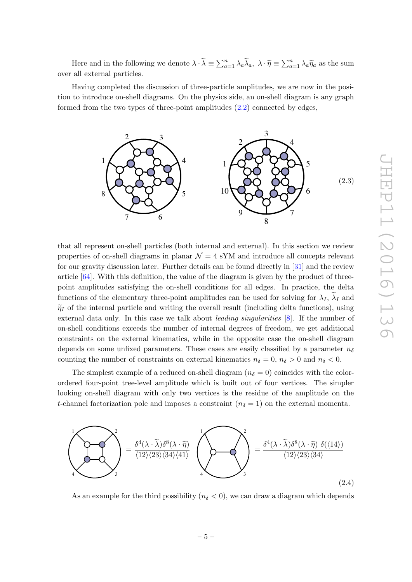Here and in the following we denote  $\lambda \cdot \widetilde{\lambda} = \sum_{a=1}^n \lambda_a \widetilde{\lambda}_a, \lambda \cdot \widetilde{\eta} = \sum_{a=1}^n \lambda_a \widetilde{\eta}_a$  as the sum over all external particles.

Having completed the discussion of three-particle amplitudes, we are now in the position to introduce on-shell diagrams. On the physics side, an on-shell diagram is any graph formed from the two types of three-point amplitudes [\(2.2\)](#page-4-1) connected by edges,



that all represent on-shell particles (both internal and external). In this section we review properties of on-shell diagrams in planar  $\mathcal{N} = 4$  sYM and introduce all concepts relevant for our gravity discussion later. Further details can be found directly in [\[31\]](#page-37-3) and the review article  $[64]$ . With this definition, the value of the diagram is given by the product of threepoint amplitudes satisfying the on-shell conditions for all edges. In practice, the delta functions of the elementary three-point amplitudes can be used for solving for  $\lambda_I$ ,  $\lambda_I$  and  $\tilde{\eta}_I$  of the internal particle and writing the overall result (including delta functions), using external data only. In this case we talk about *leading singularities* [\[8\]](#page-36-0). If the number of on-shell conditions exceeds the number of internal degrees of freedom, we get additional constraints on the external kinematics, while in the opposite case the on-shell diagram depends on some unfixed parameters. These cases are easily classified by a parameter  $n_{\delta}$ counting the number of constraints on external kinematics  $n_{\delta} = 0$ ,  $n_{\delta} > 0$  and  $n_{\delta} < 0$ .

The simplest example of a reduced on-shell diagram  $(n<sub>δ</sub> = 0)$  coincides with the colorordered four-point tree-level amplitude which is built out of four vertices. The simpler looking on-shell diagram with only two vertices is the residue of the amplitude on the t-channel factorization pole and imposes a constraint  $(n<sub>δ</sub> = 1)$  on the external momenta.

<span id="page-5-0"></span>

As an example for the third possibility ( $n_{\delta} < 0$ ), we can draw a diagram which depends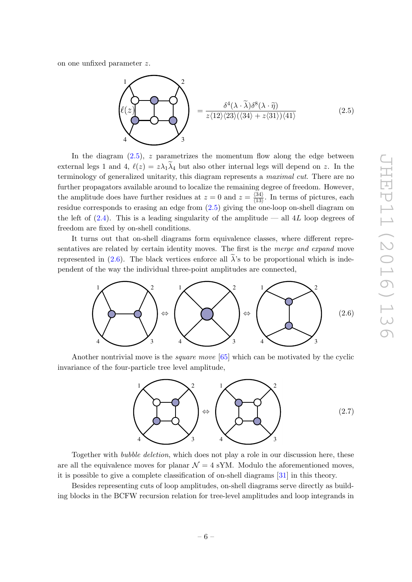on one unfixed parameter z.

<span id="page-6-0"></span>
$$
\begin{pmatrix}\n1 \\
\ell(z) \\
4\n\end{pmatrix}\n\qquad\n\begin{pmatrix}\n2 \\
\delta^4(\lambda \cdot \tilde{\lambda})\delta^8(\lambda \cdot \tilde{\eta}) \\
z\langle 12 \rangle \langle 23 \rangle (\langle 34 \rangle + z\langle 31 \rangle) \langle 41 \rangle\n\end{pmatrix}
$$
\n(2.5)

In the diagram  $(2.5)$ , z parametrizes the momentum flow along the edge between external legs 1 and 4,  $\ell(z) = z\lambda_1\lambda_4$  but also other internal legs will depend on z. In the terminology of generalized unitarity, this diagram represents a *maximal cut*. There are no further propagators available around to localize the remaining degree of freedom. However, the amplitude does have further residues at  $z = 0$  and  $z = \frac{\langle 34 \rangle}{\langle 13 \rangle}$  $\frac{\binom{34}{13}}{\binom{13}{13}}$ . In terms of pictures, each residue corresponds to erasing an edge from [\(2.5\)](#page-6-0) giving the one-loop on-shell diagram on the left of  $(2.4)$ . This is a leading singularity of the amplitude — all 4L loop degrees of freedom are fixed by on-shell conditions.

It turns out that on-shell diagrams form equivalence classes, where different representatives are related by certain identity moves. The first is the *merge and expand* move represented in  $(2.6)$ . The black vertices enforce all  $\lambda$ 's to be proportional which is independent of the way the individual three-point amplitudes are connected,

<span id="page-6-1"></span>

Another nontrivial move is the square move [\[65\]](#page-39-0) which can be motivated by the cyclic invariance of the four-particle tree level amplitude,

<span id="page-6-2"></span>

Together with bubble deletion, which does not play a role in our discussion here, these are all the equivalence moves for planar  $\mathcal{N} = 4$  sYM. Modulo the aforementioned moves, it is possible to give a complete classification of on-shell diagrams [\[31\]](#page-37-3) in this theory.

Besides representing cuts of loop amplitudes, on-shell diagrams serve directly as building blocks in the BCFW recursion relation for tree-level amplitudes and loop integrands in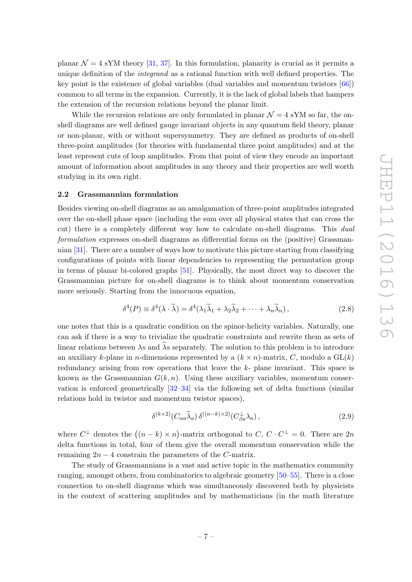planar  $\mathcal{N} = 4$  sYM theory [\[31,](#page-37-3) [37\]](#page-37-4). In this formulation, planarity is crucial as it permits a unique definition of the *integrand* as a rational function with well defined properties. The key point is the existence of global variables (dual variables and momentum twistors [\[66\]](#page-39-1)) common to all terms in the expansion. Currently, it is the lack of global labels that hampers the extension of the recursion relations beyond the planar limit.

While the recursion relations are only formulated in planar  $\mathcal{N} = 4$  sYM so far, the onshell diagrams are well defined gauge invariant objects in any quantum field theory, planar or non-planar, with or without supersymmetry. They are defined as products of on-shell three-point amplitudes (for theories with fundamental three point amplitudes) and at the least represent cuts of loop amplitudes. From that point of view they encode an important amount of information about amplitudes in any theory and their properties are well worth studying in its own right.

### <span id="page-7-0"></span>2.2 Grassmannian formulation

Besides viewing on-shell diagrams as an amalgamation of three-point amplitudes integrated over the on-shell phase space (including the sum over all physical states that can cross the cut) there is a completely different way how to calculate on-shell diagrams. This *dual* formulation expresses on-shell diagrams as differential forms on the (positive) Grassmannian [\[31\]](#page-37-3). There are a number of ways how to motivate this picture starting from classifying configurations of points with linear dependencies to representing the permutation group in terms of planar bi-colored graphs [\[51\]](#page-38-12). Physically, the most direct way to discover the Grassmannian picture for on-shell diagrams is to think about momentum conservation more seriously. Starting from the innocuous equation,

$$
\delta^4(P) \equiv \delta^4(\lambda \cdot \tilde{\lambda}) = \delta^4(\lambda_1 \tilde{\lambda}_1 + \lambda_2 \tilde{\lambda}_2 + \dots + \lambda_n \tilde{\lambda}_n),
$$
\n(2.8)

one notes that this is a quadratic condition on the spinor-helicity variables. Naturally, one can ask if there is a way to trivialize the quadratic constraints and rewrite them as sets of linear relations between  $\lambda$ s and  $\tilde{\lambda}$ s separately. The solution to this problem is to introduce an auxiliary k-plane in *n*-dimensions represented by a  $(k \times n)$ -matrix, C, modulo a GL $(k)$ redundancy arising from row operations that leave the k- plane invariant. This space is known as the Grassmannian  $G(k, n)$ . Using these auxiliary variables, momentum conservation is enforced geometrically [\[32](#page-37-9)[–34\]](#page-37-10) via the following set of delta functions (similar relations hold in twistor and momentum twistor spaces),

<span id="page-7-1"></span>
$$
\delta^{(k \times 2)}(C_{\alpha a} \widetilde{\lambda}_a) \, \delta^{((n-k) \times 2)}(C_{\beta a}^{\perp} \lambda_a) \,, \tag{2.9}
$$

where  $C^{\perp}$  denotes the  $((n-k) \times n)$ -matrix orthogonal to  $C, C \cdot C^{\perp} = 0$ . There are  $2n$ delta functions in total, four of them give the overall momentum conservation while the remaining  $2n - 4$  constrain the parameters of the C-matrix.

The study of Grassmannians is a vast and active topic in the mathematics community ranging, amongst others, from combinatorics to algebraic geometry [\[50](#page-38-1)[–55\]](#page-38-2). There is a close connection to on-shell diagrams which was simultaneously discovered both by physicists in the context of scattering amplitudes and by mathematicians (in the math literature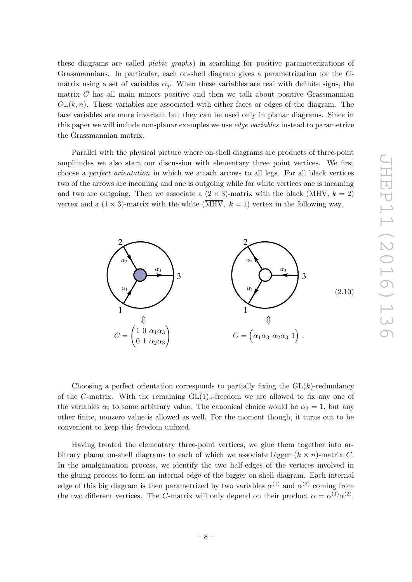these diagrams are called *plabic graphs*) in searching for positive parameterizations of Grassmannians. In particular, each on-shell diagram gives a parametrization for the Cmatrix using a set of variables  $\alpha_i$ . When these variables are real with definite signs, the matrix  $C$  has all main minors positive and then we talk about positive Grassmannian  $G_{+}(k, n)$ . These variables are associated with either faces or edges of the diagram. The face variables are more invariant but they can be used only in planar diagrams. Since in this paper we will include non-planar examples we use *edge variables* instead to parametrize the Grassmannian matrix.

Parallel with the physical picture where on-shell diagrams are products of three-point amplitudes we also start our discussion with elementary three point vertices. We first choose a perfect orientation in which we attach arrows to all legs. For all black vertices two of the arrows are incoming and one is outgoing while for white vertices one is incoming and two are outgoing. Then we associate a  $(2 \times 3)$ -matrix with the black (MHV,  $k = 2$ ) vertex and a  $(1 \times 3)$ -matrix with the white  $(\overline{\text{MHV}}, k = 1)$  vertex in the following way,



Choosing a perfect orientation corresponds to partially fixing the  $GL(k)$ -redundancy of the C-matrix. With the remaining  $GL(1)_v$ -freedom we are allowed to fix any one of the variables  $\alpha_i$  to some arbitrary value. The canonical choice would be  $\alpha_3 = 1$ , but any other finite, nonzero value is allowed as well. For the moment though, it turns out to be convenient to keep this freedom unfixed.

Having treated the elementary three-point vertices, we glue them together into arbitrary planar on-shell diagrams to each of which we associate bigger  $(k \times n)$ -matrix C. In the amalgamation process, we identify the two half-edges of the vertices involved in the gluing process to form an internal edge of the bigger on-shell diagram. Each internal edge of this big diagram is then parametrized by two variables  $\alpha^{(1)}$  and  $\alpha^{(2)}$  coming from the two different vertices. The C-matrix will only depend on their product  $\alpha = \alpha^{(1)} \alpha^{(2)}$ .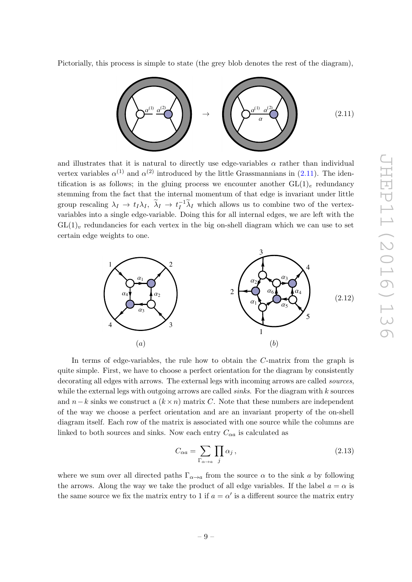Pictorially, this process is simple to state (the grey blob denotes the rest of the diagram),

<span id="page-9-0"></span>

and illustrates that it is natural to directly use edge-variables  $\alpha$  rather than individual vertex variables  $\alpha^{(1)}$  and  $\alpha^{(2)}$  introduced by the little Grassmannians in  $(2.11)$ . The identification is as follows; in the gluing process we encounter another  $GL(1)<sub>e</sub>$  redundancy stemming from the fact that the internal momentum of that edge is invariant under little group rescaling  $\lambda_I \to t_I \lambda_I$ ,  $\tilde{\lambda}_I \to t_I^{-1} \tilde{\lambda}_I$  which allows us to combine two of the vertexvariables into a single edge-variable. Doing this for all internal edges, we are left with the  $GL(1)<sub>v</sub>$  redundancies for each vertex in the big on-shell diagram which we can use to set certain edge weights to one.

<span id="page-9-1"></span>

In terms of edge-variables, the rule how to obtain the C-matrix from the graph is quite simple. First, we have to choose a perfect orientation for the diagram by consistently decorating all edges with arrows. The external legs with incoming arrows are called *sources*, while the external legs with outgoing arrows are called *sinks*. For the diagram with  $k$  sources and  $n-k$  sinks we construct a  $(k \times n)$  matrix C. Note that these numbers are independent of the way we choose a perfect orientation and are an invariant property of the on-shell diagram itself. Each row of the matrix is associated with one source while the columns are linked to both sources and sinks. Now each entry  $C_{\alpha a}$  is calculated as

<span id="page-9-2"></span>
$$
C_{\alpha a} = \sum_{\Gamma_{\alpha \to a}} \prod_{j} \alpha_j, \qquad (2.13)
$$

where we sum over all directed paths  $\Gamma_{\alpha \to a}$  from the source  $\alpha$  to the sink a by following the arrows. Along the way we take the product of all edge variables. If the label  $a = \alpha$  is the same source we fix the matrix entry to 1 if  $a = \alpha'$  is a different source the matrix entry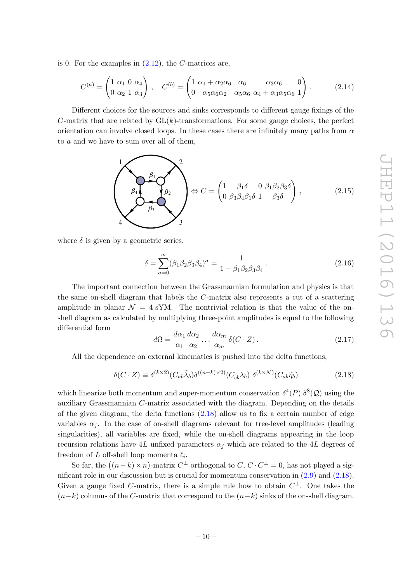is 0. For the examples in  $(2.12)$ , the C-matrices are,

<span id="page-10-1"></span>
$$
C^{(a)} = \begin{pmatrix} 1 & \alpha_1 & 0 & \alpha_4 \\ 0 & \alpha_2 & 1 & \alpha_3 \end{pmatrix} \,, \quad C^{(b)} = \begin{pmatrix} 1 & \alpha_1 + \alpha_2 \alpha_6 & \alpha_6 & \alpha_3 \alpha_6 & 0 \\ 0 & \alpha_5 \alpha_6 \alpha_2 & \alpha_5 \alpha_6 & \alpha_4 + \alpha_3 \alpha_5 \alpha_6 & 1 \end{pmatrix} \,. \tag{2.14}
$$

Different choices for the sources and sinks corresponds to different gauge fixings of the C-matrix that are related by  $GL(k)$ -transformations. For some gauge choices, the perfect orientation can involve closed loops. In these cases there are infinitely many paths from  $\alpha$ to a and we have to sum over all of them,

$$
\left(\begin{array}{c}\n\beta_1 \\
\beta_2 \\
\beta_3\n\end{array}\right)^2 \Leftrightarrow C = \begin{pmatrix}\n1 & \beta_1 \delta & 0 & \beta_1 \beta_2 \beta_3 \delta \\
0 & \beta_3 \beta_4 \beta_1 \delta & 1 & \beta_3 \delta\n\end{pmatrix},
$$
\n(2.15)

where  $\delta$  is given by a geometric series,

$$
\delta = \sum_{\sigma=0}^{\infty} (\beta_1 \beta_2 \beta_3 \beta_4)^{\sigma} = \frac{1}{1 - \beta_1 \beta_2 \beta_3 \beta_4}.
$$
 (2.16)

The important connection between the Grassmannian formulation and physics is that the same on-shell diagram that labels the C-matrix also represents a cut of a scattering amplitude in planar  $\mathcal{N} = 4$  sYM. The nontrivial relation is that the value of the onshell diagram as calculated by multiplying three-point amplitudes is equal to the following differential form

<span id="page-10-2"></span>
$$
d\Omega = \frac{d\alpha_1}{\alpha_1} \frac{d\alpha_2}{\alpha_2} \dots \frac{d\alpha_m}{\alpha_m} \delta(C \cdot Z). \tag{2.17}
$$

All the dependence on external kinematics is pushed into the delta functions,

<span id="page-10-0"></span>
$$
\delta(C \cdot Z) \equiv \delta^{(k \times 2)}(C_{ab}\widetilde{\lambda}_b)\delta^{((n-k)\times 2)}(C_{cb}^{\perp}\lambda_b)\ \delta^{(k \times \mathcal{N})}(C_{ab}\widetilde{\eta}_b)
$$
(2.18)

which linearize both momentum and super-momentum conservation  $\delta^4(P)$   $\delta^8(Q)$  using the auxiliary Grassmannian C-matrix associated with the diagram. Depending on the details of the given diagram, the delta functions  $(2.18)$  allow us to fix a certain number of edge variables  $\alpha_i$ . In the case of on-shell diagrams relevant for tree-level amplitudes (leading singularities), all variables are fixed, while the on-shell diagrams appearing in the loop recursion relations have 4L unfixed parameters  $\alpha_i$  which are related to the 4L degrees of freedom of L off-shell loop momenta  $\ell_i$ .

So far, the  $((n-k)\times n)$ -matrix  $C^{\perp}$  orthogonal to  $C, C \cdot C^{\perp} = 0$ , has not played a significant role in our discussion but is crucial for momentum conservation in  $(2.9)$  and  $(2.18)$ . Given a gauge fixed C-matrix, there is a simple rule how to obtain  $C^{\perp}$ . One takes the  $(n-k)$  columns of the C-matrix that correspond to the  $(n-k)$  sinks of the on-shell diagram.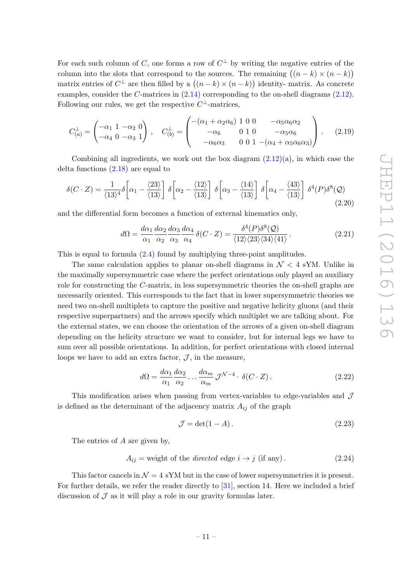For each such column of C, one forms a row of  $C^{\perp}$  by writing the negative entries of the column into the slots that correspond to the sources. The remaining  $((n-k) \times (n-k))$ matrix entries of  $C^{\perp}$  are then filled by a  $((n-k) \times (n-k))$  identity- matrix. As concrete examples, consider the C-matrices in [\(2.14\)](#page-10-1) corresponding to the on-shell diagrams [\(2.12\)](#page-9-1). Following our rules, we get the respective  $C^{\perp}$ -matrices,

$$
C_{(a)}^{\perp} = \begin{pmatrix} -\alpha_1 & 1 & -\alpha_2 & 0 \\ -\alpha_4 & 0 & -\alpha_3 & 1 \end{pmatrix}, \quad C_{(b)}^{\perp} = \begin{pmatrix} -(\alpha_1 + \alpha_2 \alpha_6) & 1 & 0 & 0 & -\alpha_5 \alpha_6 \alpha_2 \\ -\alpha_6 & 0 & 1 & 0 & -\alpha_5 \alpha_6 \\ -\alpha_6 \alpha_3 & 0 & 0 & 1 & -(\alpha_4 + \alpha_5 \alpha_6 \alpha_3) \end{pmatrix}.
$$
 (2.19)

Combining all ingredients, we work out the box diagram  $(2.12)(a)$ , in which case the delta functions [\(2.18\)](#page-10-0) are equal to

$$
\delta(C \cdot Z) = \frac{1}{\langle 13 \rangle^4} \delta \left[ \alpha_1 - \frac{\langle 23 \rangle}{\langle 13 \rangle} \right] \delta \left[ \alpha_2 - \frac{\langle 12 \rangle}{\langle 13 \rangle} \right] \delta \left[ \alpha_3 - \frac{\langle 14 \rangle}{\langle 13 \rangle} \right] \delta \left[ \alpha_4 - \frac{\langle 43 \rangle}{\langle 13 \rangle} \right] \delta^4(P) \delta^8(Q) \tag{2.20}
$$

and the differential form becomes a function of external kinematics only,

$$
d\Omega = \frac{d\alpha_1}{\alpha_1} \frac{d\alpha_2}{\alpha_2} \frac{d\alpha_3}{\alpha_3} \frac{d\alpha_4}{\alpha_4} \delta(C \cdot Z) = \frac{\delta^4(P)\delta^8(Q)}{\langle 12 \rangle \langle 23 \rangle \langle 34 \rangle \langle 41 \rangle}.
$$
 (2.21)

This is equal to formula [\(2.4\)](#page-5-0) found by multiplying three-point amplitudes.

The same calculation applies to planar on-shell diagrams in  $\mathcal{N} < 4$  sYM. Unlike in the maximally supersymmetric case where the perfect orientations only played an auxiliary role for constructing the C-matrix, in less supersymmetric theories the on-shell graphs are necessarily oriented. This corresponds to the fact that in lower supersymmetric theories we need two on-shell multiplets to capture the positive and negative helicity gluons (and their respective superpartners) and the arrows specify which multiplet we are talking about. For the external states, we can choose the orientation of the arrows of a given on-shell diagram depending on the helicity structure we want to consider, but for internal legs we have to sum over all possible orientations. In addition, for perfect orientations with closed internal loops we have to add an extra factor,  $J$ , in the measure,

$$
d\Omega = \frac{d\alpha_1}{\alpha_1} \frac{d\alpha_2}{\alpha_2} \dots \frac{d\alpha_m}{\alpha_m} \mathcal{J}^{\mathcal{N}-4} \cdot \delta(C \cdot Z). \tag{2.22}
$$

This modification arises when passing from vertex-variables to edge-variables and  $\mathcal J$ is defined as the determinant of the adjacency matrix  $A_{ij}$  of the graph

<span id="page-11-1"></span>
$$
\mathcal{J} = \det(1 - A). \tag{2.23}
$$

The entries of A are given by,

<span id="page-11-0"></span>
$$
A_{ij} = \text{weight of the directed edge } i \to j \text{ (if any)}.
$$
 (2.24)

This factor cancels in  $\mathcal{N} = 4$  sYM but in the case of lower supersymmetries it is present. For further details, we refer the reader directly to [\[31\]](#page-37-3), section 14. Here we included a brief discussion of  $\mathcal J$  as it will play a role in our gravity formulas later.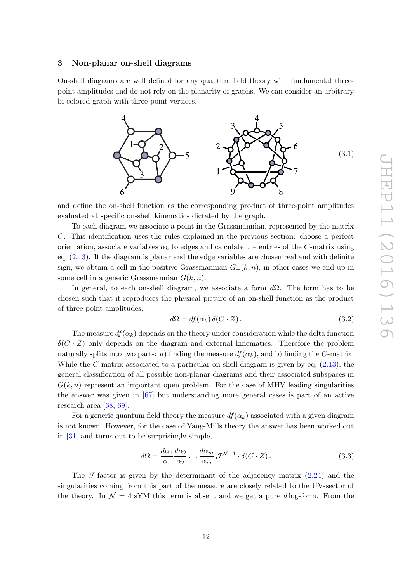### <span id="page-12-0"></span>3 Non-planar on-shell diagrams

On-shell diagrams are well defined for any quantum field theory with fundamental threepoint amplitudes and do not rely on the planarity of graphs. We can consider an arbitrary bi-colored graph with three-point vertices,



and define the on-shell function as the corresponding product of three-point amplitudes evaluated at specific on-shell kinematics dictated by the graph.

To each diagram we associate a point in the Grassmannian, represented by the matrix C. This identification uses the rules explained in the previous section: choose a perfect orientation, associate variables  $\alpha_k$  to edges and calculate the entries of the C-matrix using eq.  $(2.13)$ . If the diagram is planar and the edge variables are chosen real and with definite sign, we obtain a cell in the positive Grassmannian  $G_+(k,n)$ , in other cases we end up in some cell in a generic Grassmannian  $G(k, n)$ .

In general, to each on-shell diagram, we associate a form  $d\Omega$ . The form has to be chosen such that it reproduces the physical picture of an on-shell function as the product of three point amplitudes,

<span id="page-12-2"></span>
$$
d\Omega = df(\alpha_k) \, \delta(C \cdot Z). \tag{3.2}
$$

The measure  $df(\alpha_k)$  depends on the theory under consideration while the delta function  $\delta(C \cdot Z)$  only depends on the diagram and external kinematics. Therefore the problem naturally splits into two parts: a) finding the measure  $df(\alpha_k)$ , and b) finding the C-matrix. While the C-matrix associated to a particular on-shell diagram is given by eq. [\(2.13\)](#page-9-2), the general classification of all possible non-planar diagrams and their associated subspaces in  $G(k, n)$  represent an important open problem. For the case of MHV leading singularities the answer was given in [\[67\]](#page-39-2) but understanding more general cases is part of an active research area [\[68,](#page-39-3) [69\]](#page-39-4).

For a generic quantum field theory the measure  $df(\alpha_k)$  associated with a given diagram is not known. However, for the case of Yang-Mills theory the answer has been worked out in [\[31\]](#page-37-3) and turns out to be surprisingly simple,

<span id="page-12-1"></span>
$$
d\Omega = \frac{d\alpha_1}{\alpha_1} \frac{d\alpha_2}{\alpha_2} \dots \frac{d\alpha_m}{\alpha_m} \mathcal{J}^{\mathcal{N}-4} \cdot \delta(C \cdot Z). \tag{3.3}
$$

The  $J$ -factor is given by the determinant of the adjacency matrix  $(2.24)$  and the singularities coming from this part of the measure are closely related to the UV-sector of the theory. In  $\mathcal{N} = 4$  sYM this term is absent and we get a pure *d* log-form. From the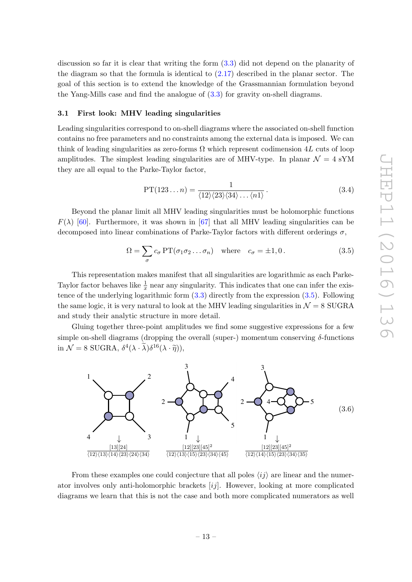discussion so far it is clear that writing the form [\(3.3\)](#page-12-1) did not depend on the planarity of the diagram so that the formula is identical to  $(2.17)$  described in the planar sector. The goal of this section is to extend the knowledge of the Grassmannian formulation beyond the Yang-Mills case and find the analogue of [\(3.3\)](#page-12-1) for gravity on-shell diagrams.

#### <span id="page-13-0"></span>3.1 First look: MHV leading singularities

Leading singularities correspond to on-shell diagrams where the associated on-shell function contains no free parameters and no constraints among the external data is imposed. We can think of leading singularities as zero-forms  $\Omega$  which represent codimension 4L cuts of loop amplitudes. The simplest leading singularities are of MHV-type. In planar  $\mathcal{N} = 4$  sYM they are all equal to the Parke-Taylor factor,

$$
PT(123...n) = \frac{1}{\langle 12 \rangle \langle 23 \rangle \langle 34 \rangle \dots \langle n1 \rangle}.
$$
 (3.4)

Beyond the planar limit all MHV leading singularities must be holomorphic functions  $F(\lambda)$  [\[60\]](#page-38-7). Furthermore, it was shown in [\[67\]](#page-39-2) that all MHV leading singularities can be decomposed into linear combinations of Parke-Taylor factors with different orderings  $\sigma$ ,

<span id="page-13-1"></span>
$$
\Omega = \sum_{\sigma} c_{\sigma} \operatorname{PT}(\sigma_1 \sigma_2 \dots \sigma_n) \quad \text{where} \quad c_{\sigma} = \pm 1, 0. \tag{3.5}
$$

This representation makes manifest that all singularities are logarithmic as each Parke-Taylor factor behaves like  $\frac{1}{x}$  near any singularity. This indicates that one can infer the existence of the underlying logarithmic form  $(3.3)$  directly from the expression  $(3.5)$ . Following the same logic, it is very natural to look at the MHV leading singularities in  $\mathcal{N} = 8$  SUGRA and study their analytic structure in more detail.

Gluing together three-point amplitudes we find some suggestive expressions for a few simple on-shell diagrams (dropping the overall (super-) momentum conserving  $\delta$ -functions in  $\mathcal{N} = 8$  SUGRA,  $\delta^4(\lambda \cdot \tilde{\lambda}) \delta^{16}(\lambda \cdot \tilde{\eta})),$ 



From these examples one could conjecture that all poles  $\langle ij \rangle$  are linear and the numerator involves only anti-holomorphic brackets  $[ij]$ . However, looking at more complicated diagrams we learn that this is not the case and both more complicated numerators as well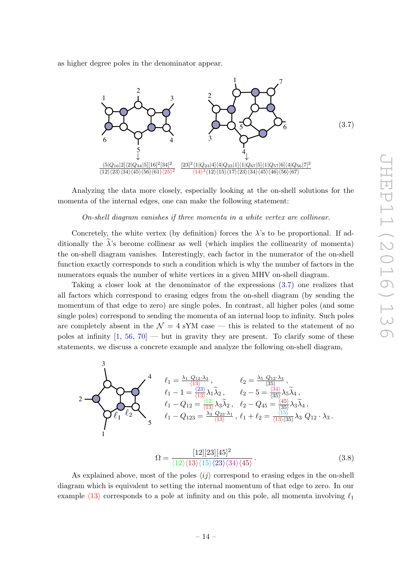as higher degree poles in the denominator appear.

<span id="page-14-0"></span>

Analyzing the data more closely, especially looking at the on-shell solutions for the momenta of the internal edges, one can make the following statement:

On-shell diagram vanishes if three momenta in a white vertex are collinear.

Concretely, the white vertex (by definition) forces the  $\lambda$ 's to be proportional. If additionally the  $\lambda$ 's become collinear as well (which implies the collinearity of momenta) the on-shell diagram vanishes. Interestingly, each factor in the numerator of the on-shell function exactly corresponds to such a condition which is why the number of factors in the numerators equals the number of white vertices in a given MHV on-shell diagram.

Taking a closer look at the denominator of the expressions [\(3.7\)](#page-14-0) one realizes that all factors which correspond to erasing edges from the on-shell diagram (by sending the momentum of that edge to zero) are single poles. In contrast, all higher poles (and some single poles) correspond to sending the momenta of an internal loop to infinity. Such poles are completely absent in the  $\mathcal{N} = 4$  sYM case — this is related to the statement of no poles at infinity  $[1, 56, 70]$  $[1, 56, 70]$  $[1, 56, 70]$  $[1, 56, 70]$  — but in gravity they are present. To clarify some of these statements, we discuss a concrete example and analyze the following on-shell diagram,

$$
\begin{array}{c}\n\mathbf{1} & \mathbf{1} = \frac{\lambda_1 Q_{12} \cdot \lambda_3}{\langle 13 \rangle}, & \mathbf{1} = \frac{\lambda_5 Q_{12} \cdot \lambda_3}{\langle 35 \rangle}, \\
\mathbf{1} & \mathbf{1} = \frac{\lambda_1 Q_{12} \cdot \lambda_3}{\langle 13 \rangle}, & \mathbf{1} = \frac{\lambda_2 Q_{12} \cdot \lambda_3}{\langle 35 \rangle}, \\
\mathbf{1} & \mathbf{1} = \frac{\langle 23 \rangle}{\langle 13 \rangle} \lambda_1 \widetilde{\lambda}_2, & \mathbf{1} = \frac{\langle 34 \rangle}{\langle 35 \rangle} \lambda_5 \widetilde{\lambda}_4, \\
\mathbf{1} - Q_{12} = \frac{\langle 12 \rangle}{\langle 13 \rangle} \lambda_3 \widetilde{\lambda}_2, & \mathbf{1} = \mathbf{1} + \mathbf{1} = \frac{\langle 45 \rangle}{\langle 35 \rangle} \lambda_3 \widetilde{\lambda}_4, \\
\mathbf{1} - Q_{123} = \frac{\lambda_3 Q_{23} \cdot \lambda_1}{\langle 13 \rangle}, & \mathbf{1} + \mathbf{1} = \frac{\langle 15 \rangle}{\langle 13 \rangle \langle 35 \rangle} \lambda_3 Q_{12} \cdot \lambda_3.\n\end{array}
$$
\n
$$
\mathbf{1} = \frac{\mathbf{1} \cdot \mathbf{1} \cdot \mathbf{1} \cdot \mathbf{1} \cdot \mathbf{1} \cdot \mathbf{1} \cdot \mathbf{1} \cdot \mathbf{1} \cdot \mathbf{1} \cdot \mathbf{1} \cdot \mathbf{1} \cdot \mathbf{1} \cdot \mathbf{1} \cdot \mathbf{1} \cdot \mathbf{1} \cdot \mathbf{1} \cdot \mathbf{1} \cdot \mathbf{1} \cdot \mathbf{1} \cdot \mathbf{1} \cdot \mathbf{1} \cdot \mathbf{1} \cdot \mathbf{1} \cdot \mathbf{1} \cdot \mathbf{1} \cdot \mathbf{1} \cdot \mathbf{1} \cdot \mathbf{1} \cdot \mathbf{1} \cdot \mathbf{1} \cdot \mathbf{1} \cdot \mathbf{1} \cdot \mathbf{1} \cdot \mathbf{1} \cdot \mathbf{1} \cdot \mathbf{1} \cdot \mathbf{1} \cdot \mathbf{
$$

<span id="page-14-1"></span>
$$
\Omega = \frac{[12][23][45]^2}{\langle 12 \rangle \langle 13 \rangle \langle 15 \rangle \langle 23 \rangle \langle 34 \rangle \langle 45 \rangle}.
$$
\n(3.8)

As explained above, most of the poles  $\langle ij \rangle$  correspond to erasing edges in the on-shell diagram which is equivalent to setting the internal momentum of that edge to zero. In our example  $\langle 13 \rangle$  corresponds to a pole at infinity and on this pole, all momenta involving  $\ell_1$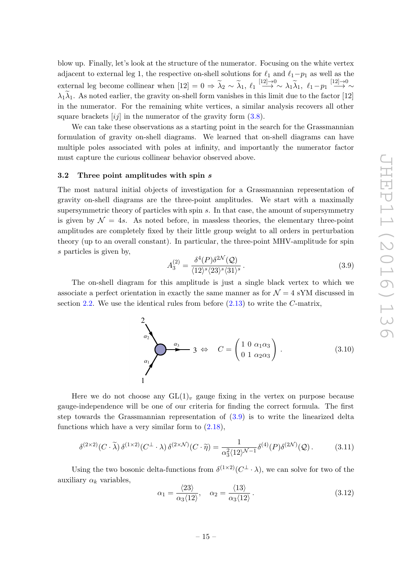blow up. Finally, let's look at the structure of the numerator. Focusing on the white vertex adjacent to external leg 1, the respective on-shell solutions for  $\ell_1$  and  $\ell_1-p_1$  as well as the external leg become collinear when  $[12] = 0 \Rightarrow \tilde{\lambda}_2 \sim \tilde{\lambda}_1, \ell_1 \stackrel{[12]\rightarrow 0}{\longrightarrow} \sim \lambda_1 \tilde{\lambda}_1, \ell_1 - p_1 \stackrel{[12]\rightarrow 0}{\longrightarrow}$  $\rightarrow \sim$  $\lambda_1\widetilde{\lambda}_1$ . As noted earlier, the gravity on-shell form vanishes in this limit due to the factor [12] in the numerator. For the remaining white vertices, a similar analysis recovers all other square brackets  $[ij]$  in the numerator of the gravity form  $(3.8)$ .

We can take these observations as a starting point in the search for the Grassmannian formulation of gravity on-shell diagrams. We learned that on-shell diagrams can have multiple poles associated with poles at infinity, and importantly the numerator factor must capture the curious collinear behavior observed above.

#### <span id="page-15-0"></span>3.2 Three point amplitudes with spin s

The most natural initial objects of investigation for a Grassmannian representation of gravity on-shell diagrams are the three-point amplitudes. We start with a maximally supersymmetric theory of particles with spin  $s$ . In that case, the amount of supersymmetry is given by  $\mathcal{N} = 4s$ . As noted before, in massless theories, the elementary three-point amplitudes are completely fixed by their little group weight to all orders in perturbation theory (up to an overall constant). In particular, the three-point MHV-amplitude for spin s particles is given by,

<span id="page-15-1"></span>
$$
A_3^{(2)} = \frac{\delta^4(P)\delta^{2\mathcal{N}}(\mathcal{Q})}{\langle 12 \rangle^s \langle 23 \rangle^s \langle 31 \rangle^s}.
$$
\n(3.9)

The on-shell diagram for this amplitude is just a single black vertex to which we associate a perfect orientation in exactly the same manner as for  $\mathcal{N} = 4$  sYM discussed in section [2.2.](#page-7-0) We use the identical rules from before  $(2.13)$  to write the C-matrix,

$$
C = \begin{pmatrix} 1 & 0 & \alpha_1 \\ 0 & 1 & \alpha_2 \\ 0 & 1 & \alpha_3 \end{pmatrix}.
$$
 (3.10)

Here we do not choose any  $GL(1)_v$  gauge fixing in the vertex on purpose because gauge-independence will be one of our criteria for finding the correct formula. The first step towards the Grassmannian representation of [\(3.9\)](#page-15-1) is to write the linearized delta functions which have a very similar form to  $(2.18)$ ,

<span id="page-15-2"></span>
$$
\delta^{(2\times 2)}(C\cdot\widetilde{\lambda})\,\delta^{(1\times 2)}(C^{\perp}\cdot\lambda)\,\delta^{(2\times\mathcal{N})}(C\cdot\widetilde{\eta}) = \frac{1}{\alpha_3^2\langle 12\rangle^{\mathcal{N}-1}}\delta^{(4)}(P)\delta^{(2\mathcal{N})}(\mathcal{Q})\,. \tag{3.11}
$$

Using the two bosonic delta-functions from  $\delta^{(1\times2)}(C^{\perp}\cdot\lambda)$ , we can solve for two of the auxiliary  $\alpha_k$  variables,

<span id="page-15-3"></span>
$$
\alpha_1 = \frac{\langle 23 \rangle}{\alpha_3 \langle 12 \rangle}, \quad \alpha_2 = \frac{\langle 13 \rangle}{\alpha_3 \langle 12 \rangle}.
$$
 (3.12)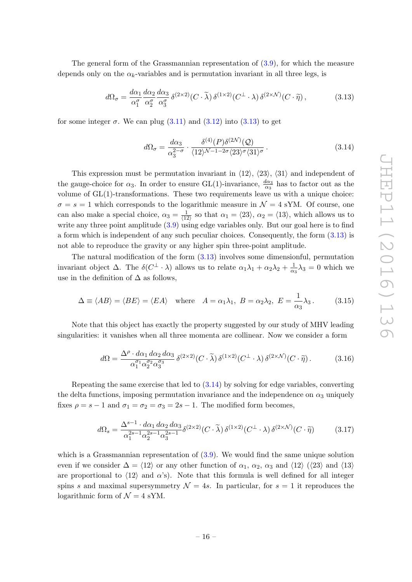The general form of the Grassmannian representation of  $(3.9)$ , for which the measure depends only on the  $\alpha_k$ -variables and is permutation invariant in all three legs, is

<span id="page-16-0"></span>
$$
d\Omega_{\sigma} = \frac{d\alpha_1}{\alpha_1^{\sigma}} \frac{d\alpha_2}{\alpha_2^{\sigma}} \frac{d\alpha_3}{\alpha_3^{\sigma}} \delta^{(2 \times 2)}(C \cdot \tilde{\lambda}) \delta^{(1 \times 2)}(C^{\perp} \cdot \lambda) \delta^{(2 \times \mathcal{N})}(C \cdot \tilde{\eta}), \tag{3.13}
$$

for some integer  $\sigma$ . We can plug  $(3.11)$  and  $(3.12)$  into  $(3.13)$  to get

<span id="page-16-1"></span>
$$
d\Omega_{\sigma} = \frac{d\alpha_3}{\alpha_3^{2-\sigma}} \cdot \frac{\delta^{(4)}(P)\delta^{(2\mathcal{N})}(\mathcal{Q})}{\langle 12 \rangle^{\mathcal{N}-1-2\sigma} \langle 23 \rangle^{\sigma} \langle 31 \rangle^{\sigma}}.
$$
\n(3.14)

This expression must be permutation invariant in  $\langle 12 \rangle$ ,  $\langle 23 \rangle$ ,  $\langle 31 \rangle$  and independent of the gauge-choice for  $\alpha_3$ . In order to ensure GL(1)-invariance,  $\frac{d\alpha_3}{\alpha_3}$  has to factor out as the volume of GL(1)-transformations. These two requirements leave us with a unique choice:  $\sigma = s = 1$  which corresponds to the logarithmic measure in  $\mathcal{N} = 4$  sYM. Of course, one can also make a special choice,  $\alpha_3 = \frac{1}{\sqrt{13}}$  $\frac{1}{\langle 12 \rangle}$  so that  $\alpha_1 = \langle 23 \rangle$ ,  $\alpha_2 = \langle 13 \rangle$ , which allows us to write any three point amplitude  $(3.9)$  using edge variables only. But our goal here is to find a form which is independent of any such peculiar choices. Consequently, the form [\(3.13\)](#page-16-0) is not able to reproduce the gravity or any higher spin three-point amplitude.

The natural modification of the form [\(3.13\)](#page-16-0) involves some dimensionful, permutation invariant object  $\Delta$ . The  $\delta(C^{\perp} \cdot \lambda)$  allows us to relate  $\alpha_1 \lambda_1 + \alpha_2 \lambda_2 + \frac{1}{\alpha_1}$  $\frac{1}{\alpha_3} \lambda_3 = 0$  which we use in the definition of  $\Delta$  as follows,

$$
\Delta \equiv \langle AB \rangle = \langle BE \rangle = \langle EA \rangle \quad \text{where} \quad A = \alpha_1 \lambda_1, \ B = \alpha_2 \lambda_2, \ E = \frac{1}{\alpha_3} \lambda_3. \tag{3.15}
$$

Note that this object has exactly the property suggested by our study of MHV leading singularities: it vanishes when all three momenta are collinear. Now we consider a form

$$
d\Omega = \frac{\Delta^{\rho} \cdot d\alpha_1 \, d\alpha_2 \, d\alpha_3}{\alpha_1^{\sigma_1} \alpha_2^{\sigma_2} \alpha_3^{\sigma_3}} \, \delta^{(2 \times 2)}(C \cdot \tilde{\lambda}) \, \delta^{(1 \times 2)}(C^{\perp} \cdot \lambda) \, \delta^{(2 \times \mathcal{N})}(C \cdot \tilde{\eta}). \tag{3.16}
$$

Repeating the same exercise that led to  $(3.14)$  by solving for edge variables, converting the delta functions, imposing permutation invariance and the independence on  $\alpha_3$  uniquely fixes  $\rho = s - 1$  and  $\sigma_1 = \sigma_2 = \sigma_3 = 2s - 1$ . The modified form becomes,

<span id="page-16-2"></span>
$$
d\Omega_s = \frac{\Delta^{s-1} \cdot d\alpha_1 \, d\alpha_2 \, d\alpha_3}{\alpha_1^{2s-1} \alpha_2^{2s-1} \alpha_3^{2s-1}} \delta^{(2 \times 2)}(C \cdot \tilde{\lambda}) \, \delta^{(1 \times 2)}(C^{\perp} \cdot \lambda) \, \delta^{(2 \times \mathcal{N})}(C \cdot \tilde{\eta}) \tag{3.17}
$$

which is a Grassmannian representation of  $(3.9)$ . We would find the same unique solution even if we consider  $\Delta = \langle 12 \rangle$  or any other function of  $\alpha_1$ ,  $\alpha_2$ ,  $\alpha_3$  and  $\langle 12 \rangle$  ( $\langle 23 \rangle$  and  $\langle 13 \rangle$ are proportional to  $\langle 12 \rangle$  and  $\alpha$ 's). Note that this formula is well defined for all integer spins s and maximal supersymmetry  $\mathcal{N} = 4s$ . In particular, for  $s = 1$  it reproduces the logarithmic form of  $\mathcal{N}=4$  sYM.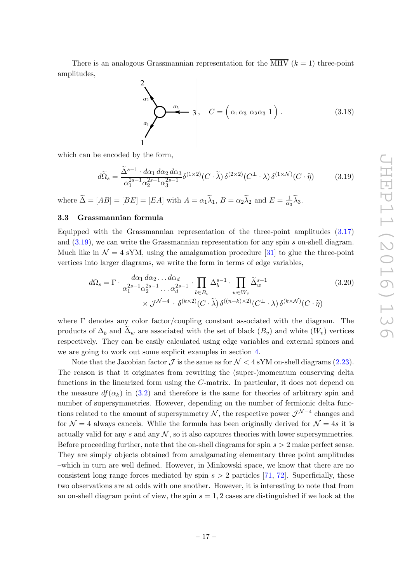There is an analogous Grassmannian representation for the  $\overline{\text{MHV}}$  ( $k = 1$ ) three-point amplitudes,

$$
\begin{pmatrix}\n2 \\
\alpha_2 \\
\vdots \\
\alpha_1\n\end{pmatrix}\n\qquad\n\begin{pmatrix}\n\alpha_3 & \alpha_2 & \alpha_3 \\
\vdots & \ddots & \ddots \\
\alpha_1 & \alpha_2 & \alpha_3\n\end{pmatrix}\n\qquad\n\begin{pmatrix}\n\alpha_1 \\
\vdots & \ddots & \ddots \\
\alpha_n\n\end{pmatrix}\n\qquad (3.18)
$$

which can be encoded by the form,

<span id="page-17-1"></span>
$$
d\widetilde{\Omega}_s = \frac{\widetilde{\Delta}^{s-1} \cdot d\alpha_1 \, d\alpha_2 \, d\alpha_3}{\alpha_1^{2s-1} \alpha_2^{2s-1} \alpha_3^{2s-1}} \delta^{(1 \times 2)}(C \cdot \widetilde{\lambda}) \, \delta^{(2 \times 2)}(C^{\perp} \cdot \lambda) \, \delta^{(1 \times \mathcal{N})}(C \cdot \widetilde{\eta}) \tag{3.19}
$$

where  $\tilde{\Delta} = [AB] = [BE] = [EA]$  with  $A = \alpha_1 \tilde{\lambda}_1$ ,  $B = \alpha_2 \tilde{\lambda}_2$  and  $E = \frac{1}{\alpha_2}$  $\frac{1}{\alpha_3}\lambda_3.$ 

### <span id="page-17-0"></span>3.3 Grassmannian formula

Equipped with the Grassmannian representation of the three-point amplitudes [\(3.17\)](#page-16-2) and [\(3.19\)](#page-17-1), we can write the Grassmannian representation for any spin s on-shell diagram. Much like in  $\mathcal{N} = 4$  sYM, using the amalgamation procedure [\[31\]](#page-37-3) to glue the three-point vertices into larger diagrams, we write the form in terms of edge variables,

<span id="page-17-2"></span>
$$
d\Omega_s = \Gamma \cdot \frac{d\alpha_1 d\alpha_2 \dots d\alpha_d}{\alpha_1^{2s-1} \alpha_2^{2s-1} \dots \alpha_d^{2s-1}} \cdot \prod_{b \in B_v} \Delta_b^{s-1} \cdot \prod_{w \in W_v} \widetilde{\Delta}_w^{s-1}
$$
\n
$$
\times \mathcal{J}^{\mathcal{N}-4} \cdot \delta^{(k \times 2)}(C \cdot \widetilde{\lambda}) \delta^{((n-k) \times 2)}(C^{\perp} \cdot \lambda) \delta^{(k \times \mathcal{N})}(C \cdot \widetilde{\eta})
$$
\n(3.20)

where Γ denotes any color factor/coupling constant associated with the diagram. The products of  $\Delta_b$  and  $\Delta_w$  are associated with the set of black  $(B_v)$  and white  $(W_v)$  vertices respectively. They can be easily calculated using edge variables and external spinors and we are going to work out some explicit examples in section [4.](#page-19-0)

Note that the Jacobian factor  $\mathcal J$  is the same as for  $\mathcal N < 4$  sYM on-shell diagrams [\(2.23\)](#page-11-1). The reason is that it originates from rewriting the (super-)momentum conserving delta functions in the linearized form using the C-matrix. In particular, it does not depend on the measure  $df(\alpha_k)$  in [\(3.2\)](#page-12-2) and therefore is the same for theories of arbitrary spin and number of supersymmetries. However, depending on the number of fermionic delta functions related to the amount of supersymmetry  $N$ , the respective power  $\mathcal{J}^{\mathcal{N}-4}$  changes and for  $\mathcal{N} = 4$  always cancels. While the formula has been originally derived for  $\mathcal{N} = 4s$  it is actually valid for any s and any  $N$ , so it also captures theories with lower supersymmetries. Before proceeding further, note that the on-shell diagrams for spin  $s > 2$  make perfect sense. They are simply objects obtained from amalgamating elementary three point amplitudes –which in turn are well defined. However, in Minkowski space, we know that there are no consistent long range forces mediated by spin  $s > 2$  particles [\[71,](#page-39-6) [72\]](#page-39-7). Superficially, these two observations are at odds with one another. However, it is interesting to note that from an on-shell diagram point of view, the spin  $s = 1, 2$  cases are distinguished if we look at the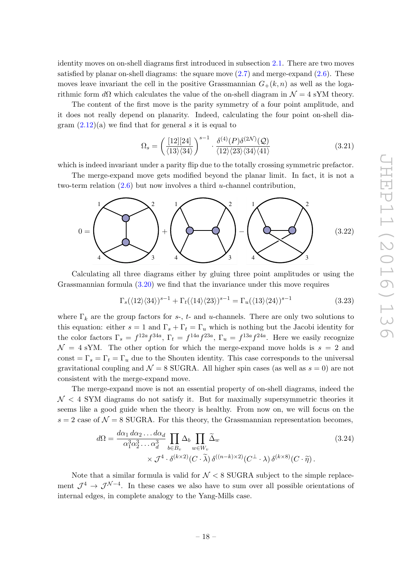identity moves on on-shell diagrams first introduced in subsection [2.1.](#page-4-0) There are two moves satisfied by planar on-shell diagrams: the square move  $(2.7)$  and merge-expand  $(2.6)$ . These moves leave invariant the cell in the positive Grassmannian  $G_{+}(k, n)$  as well as the logarithmic form  $d\Omega$  which calculates the value of the on-shell diagram in  $\mathcal{N} = 4$  sYM theory.

The content of the first move is the parity symmetry of a four point amplitude, and it does not really depend on planarity. Indeed, calculating the four point on-shell diagram  $(2.12)(a)$  we find that for general s it is equal to

$$
\Omega_s = \left(\frac{[12][24]}{\langle 13\rangle\langle 34\rangle}\right)^{s-1} \cdot \frac{\delta^{(4)}(P)\delta^{(2\mathcal{N})}(Q)}{\langle 12\rangle\langle 23\rangle\langle 34\rangle\langle 41\rangle} \tag{3.21}
$$

which is indeed invariant under a parity flip due to the totally crossing symmetric prefactor.

The merge-expand move gets modified beyond the planar limit. In fact, it is not a two-term relation  $(2.6)$  but now involves a third *u*-channel contribution,



Calculating all three diagrams either by gluing three point amplitudes or using the Grassmannian formula [\(3.20\)](#page-17-2) we find that the invariance under this move requires

$$
\Gamma_s(\langle 12\rangle\langle 34\rangle)^{s-1} + \Gamma_t(\langle 14\rangle\langle 23\rangle)^{s-1} = \Gamma_u(\langle 13\rangle\langle 24\rangle)^{s-1}
$$
\n(3.23)

where  $\Gamma_k$  are the group factors for s-, t- and u-channels. There are only two solutions to this equation: either  $s = 1$  and  $\Gamma_s + \Gamma_t = \Gamma_u$  which is nothing but the Jacobi identity for the color factors  $\Gamma_s = f^{12a} f^{34a}$ ,  $\Gamma_t = f^{14a} f^{23a}$ ,  $\Gamma_u = f^{13a} f^{24a}$ . Here we easily recognize  $\mathcal{N} = 4$  sYM. The other option for which the merge-expand move holds is  $s = 2$  and const =  $\Gamma_s = \Gamma_t = \Gamma_u$  due to the Shouten identity. This case corresponds to the universal gravitational coupling and  $\mathcal{N} = 8$  SUGRA. All higher spin cases (as well as  $s = 0$ ) are not consistent with the merge-expand move.

The merge-expand move is not an essential property of on-shell diagrams, indeed the  $\mathcal{N}$  < 4 SYM diagrams do not satisfy it. But for maximally supersymmetric theories it seems like a good guide when the theory is healthy. From now on, we will focus on the  $s = 2$  case of  $\mathcal{N} = 8$  SUGRA. For this theory, the Grassmannian representation becomes,

<span id="page-18-0"></span>
$$
d\Omega = \frac{d\alpha_1 d\alpha_2 \dots d\alpha_d}{\alpha_1^3 \alpha_2^3 \dots \alpha_d^3} \prod_{b \in B_v} \Delta_b \prod_{w \in W_v} \widetilde{\Delta}_w
$$
  
\$\times \mathcal{J}^4 \cdot \delta^{(k \times 2)}(C \cdot \widetilde{\lambda}) \delta^{((n-k) \times 2)}(C^{\perp} \cdot \lambda) \delta^{(k \times 8)}(C \cdot \widetilde{\eta})\$.

Note that a similar formula is valid for  $\mathcal{N} < 8$  SUGRA subject to the simple replacement  $\mathcal{J}^4 \to \mathcal{J}^{\mathcal{N}-4}$ . In these cases we also have to sum over all possible orientations of internal edges, in complete analogy to the Yang-Mills case.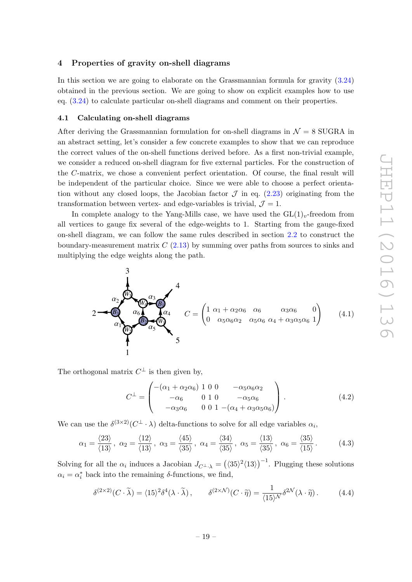### <span id="page-19-0"></span>4 Properties of gravity on-shell diagrams

In this section we are going to elaborate on the Grassmannian formula for gravity [\(3.24\)](#page-18-0) obtained in the previous section. We are going to show on explicit examples how to use eq. [\(3.24\)](#page-18-0) to calculate particular on-shell diagrams and comment on their properties.

### <span id="page-19-1"></span>4.1 Calculating on-shell diagrams

After deriving the Grassmannian formulation for on-shell diagrams in  $\mathcal{N}=8$  SUGRA in an abstract setting, let's consider a few concrete examples to show that we can reproduce the correct values of the on-shell functions derived before. As a first non-trivial example, we consider a reduced on-shell diagram for five external particles. For the construction of the C-matrix, we chose a convenient perfect orientation. Of course, the final result will be independent of the particular choice. Since we were able to choose a perfect orientation without any closed loops, the Jacobian factor  $\mathcal J$  in eq. [\(2.23\)](#page-11-1) originating from the transformation between vertex- and edge-variables is trivial,  $\mathcal{J} = 1$ .

In complete analogy to the Yang-Mills case, we have used the  $GL(1)_v$ -freedom from all vertices to gauge fix several of the edge-weights to 1. Starting from the gauge-fixed on-shell diagram, we can follow the same rules described in section [2.2](#page-7-0) to construct the boundary-measurement matrix  $C(2.13)$  $C(2.13)$  by summing over paths from sources to sinks and multiplying the edge weights along the path.

<span id="page-19-2"></span>
$$
2 - \underbrace{\bigotimes_{\alpha_{6}} \underbrace{\alpha_{7}}_{\alpha_{8}} \underbrace{\alpha_{8}}_{\alpha_{5}} \underbrace{\alpha_{4}}_{\alpha_{5}} C = \begin{pmatrix} 1 & \alpha_{1} + \alpha_{2}\alpha_{6} & \alpha_{6} & \alpha_{3}\alpha_{6} & 0 \\ 0 & \alpha_{5}\alpha_{6}\alpha_{2} & \alpha_{5}\alpha_{6} & \alpha_{4} + \alpha_{3}\alpha_{5}\alpha_{6} & 1 \end{pmatrix} (4.1)
$$

The orthogonal matrix  $C^{\perp}$  is then given by,

$$
C^{\perp} = \begin{pmatrix} -(\alpha_1 + \alpha_2 \alpha_6) & 1 & 0 & 0 & -\alpha_5 \alpha_6 \alpha_2 \\ -\alpha_6 & 0 & 1 & 0 & -\alpha_5 \alpha_6 \\ -\alpha_3 \alpha_6 & 0 & 0 & 1 & -(\alpha_4 + \alpha_3 \alpha_5 \alpha_6) \end{pmatrix} .
$$
 (4.2)

We can use the  $\delta^{(3\times2)}(C^{\perp}\cdot\lambda)$  delta-functions to solve for all edge variables  $\alpha_i$ ,

<span id="page-19-3"></span>
$$
\alpha_1 = \frac{\langle 23 \rangle}{\langle 13 \rangle}, \ \alpha_2 = \frac{\langle 12 \rangle}{\langle 13 \rangle}, \ \alpha_3 = \frac{\langle 45 \rangle}{\langle 35 \rangle}, \ \alpha_4 = \frac{\langle 34 \rangle}{\langle 35 \rangle}, \ \alpha_5 = \frac{\langle 13 \rangle}{\langle 35 \rangle}, \ \alpha_6 = \frac{\langle 35 \rangle}{\langle 15 \rangle}.
$$
 (4.3)

Solving for all the  $\alpha_i$  induces a Jacobian  $J_{C^{\perp},\lambda} = (\langle 35\rangle^2 \langle 13\rangle)^{-1}$ . Plugging these solutions  $\alpha_i = \alpha_i^*$  back into the remaining  $\delta$ -functions, we find,

$$
\delta^{(2\times 2)}(C\cdot\widetilde{\lambda}) = \langle 15\rangle^2 \delta^4(\lambda\cdot\widetilde{\lambda}), \qquad \delta^{(2\times \mathcal{N})}(C\cdot\widetilde{\eta}) = \frac{1}{\langle 15\rangle^{\mathcal{N}}} \delta^{2\mathcal{N}}(\lambda\cdot\widetilde{\eta}). \tag{4.4}
$$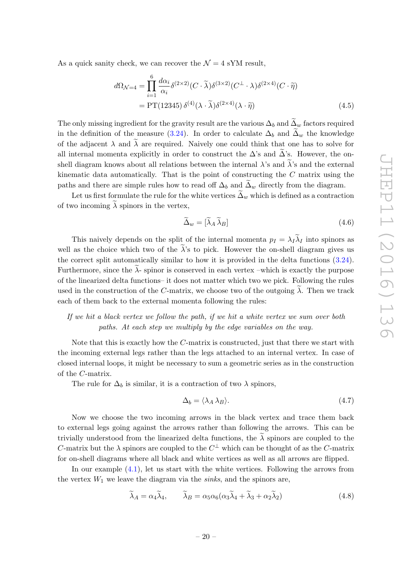As a quick sanity check, we can recover the  $\mathcal{N} = 4$  sYM result,

$$
d\Omega_{\mathcal{N}=4} = \prod_{i=1}^{6} \frac{d\alpha_i}{\alpha_i} \delta^{(2 \times 2)}(C \cdot \tilde{\lambda}) \delta^{(3 \times 2)}(C^{\perp} \cdot \lambda) \delta^{(2 \times 4)}(C \cdot \tilde{\eta})
$$
  
= PT(12345)  $\delta^{(4)}(\lambda \cdot \tilde{\lambda}) \delta^{(2 \times 4)}(\lambda \cdot \tilde{\eta})$  (4.5)

The only missing ingredient for the gravity result are the various  $\Delta_b$  and  $\widetilde{\Delta}_w$  factors required in the definition of the measure [\(3.24\)](#page-18-0). In order to calculate  $\Delta_b$  and  $\tilde{\Delta}_w$  the knowledge of the adjacent  $\lambda$  and  $\tilde{\lambda}$  are required. Naively one could think that one has to solve for all internal momenta explicitly in order to construct the  $\Delta$ 's and  $\Delta$ 's. However, the onshell diagram knows about all relations between the internal  $\lambda$ 's and  $\lambda$ 's and the external kinematic data automatically. That is the point of constructing the  $C$  matrix using the paths and there are simple rules how to read off  $\Delta_b$  and  $\tilde{\Delta}_w$  directly from the diagram.

Let us first formulate the rule for the white vertices  $\tilde{\Delta}_w$  which is defined as a contraction of two incoming  $\lambda$  spinors in the vertex.

$$
\widetilde{\Delta}_w = [\widetilde{\lambda}_A \widetilde{\lambda}_B] \tag{4.6}
$$

This naively depends on the split of the internal momenta  $p_I = \lambda_I \lambda_I$  into spinors as well as the choice which two of the  $\tilde{\lambda}$ 's to pick. However the on-shell diagram gives us the correct split automatically similar to how it is provided in the delta functions [\(3.24\)](#page-18-0). Furthermore, since the  $\tilde{\lambda}$ - spinor is conserved in each vertex –which is exactly the purpose of the linearized delta functions– it does not matter which two we pick. Following the rules used in the construction of the C-matrix, we choose two of the outgoing  $\lambda$ . Then we track each of them back to the external momenta following the rules:

## If we hit a black vertex we follow the path, if we hit a white vertex we sum over both paths. At each step we multiply by the edge variables on the way.

Note that this is exactly how the C-matrix is constructed, just that there we start with the incoming external legs rather than the legs attached to an internal vertex. In case of closed internal loops, it might be necessary to sum a geometric series as in the construction of the C-matrix.

The rule for  $\Delta_b$  is similar, it is a contraction of two  $\lambda$  spinors,

$$
\Delta_b = \langle \lambda_A \lambda_B \rangle. \tag{4.7}
$$

Now we choose the two incoming arrows in the black vertex and trace them back to external legs going against the arrows rather than following the arrows. This can be trivially understood from the linearized delta functions, the  $\lambda$  spinors are coupled to the C-matrix but the  $\lambda$  spinors are coupled to the  $C^{\perp}$  which can be thought of as the C-matrix for on-shell diagrams where all black and white vertices as well as all arrows are flipped.

In our example [\(4.1\)](#page-19-2), let us start with the white vertices. Following the arrows from the vertex  $W_1$  we leave the diagram via the sinks, and the spinors are,

$$
\widetilde{\lambda}_A = \alpha_4 \widetilde{\lambda}_4, \qquad \widetilde{\lambda}_B = \alpha_5 \alpha_6 (\alpha_3 \widetilde{\lambda}_4 + \widetilde{\lambda}_3 + \alpha_2 \widetilde{\lambda}_2) \tag{4.8}
$$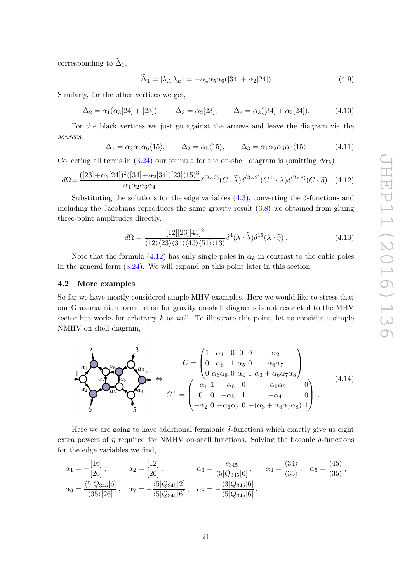corresponding to  $\widetilde{\Delta}_1$ ,

$$
\widetilde{\Delta}_1 = [\widetilde{\lambda}_A \widetilde{\lambda}_B] = -\alpha_4 \alpha_5 \alpha_6 ([34] + \alpha_2 [24]) \tag{4.9}
$$

Similarly, for the other vertices we get,

 $\tilde{\Delta}_2 = \alpha_1(\alpha_3[24] + [23]), \qquad \tilde{\Delta}_3 = \alpha_2[23], \qquad \tilde{\Delta}_4 = \alpha_3([34] + \alpha_2[24]).$  (4.10)

For the black vertices we just go against the arrows and leave the diagram via the sources.

$$
\Delta_1 = \alpha_3 \alpha_4 \alpha_6 \langle 15 \rangle, \qquad \Delta_2 = \alpha_5 \langle 15 \rangle, \qquad \Delta_3 = \alpha_1 \alpha_2 \alpha_5 \alpha_6 \langle 15 \rangle \tag{4.11}
$$

Collecting all terms in [\(3.24\)](#page-18-0) our formula for the on-shell diagram is (omitting  $d\alpha_k$ )

<span id="page-21-1"></span>
$$
d\Omega = \frac{([23] + \alpha_3[24])^2([34] + \alpha_2[34])[23]\langle15\rangle^3}{\alpha_1 \alpha_2 \alpha_3 \alpha_4} \delta^{(2 \times 2)}(C \cdot \tilde{\lambda}) \delta^{(3 \times 2)}(C^{\perp} \cdot \lambda) \delta^{(2 \times 8)}(C \cdot \tilde{\eta}).
$$
 (4.12)

Substituting the solutions for the edge variables  $(4.3)$ , converting the  $\delta$ -functions and including the Jacobians reproduces the same gravity result [\(3.8\)](#page-14-1) we obtained from gluing three-point amplitudes directly,

$$
d\Omega = \frac{[12][23][45]^2}{\langle 12 \rangle \langle 23 \rangle \langle 34 \rangle \langle 45 \rangle \langle 51 \rangle \langle 13 \rangle} \delta^4(\lambda \cdot \widetilde{\lambda}) \delta^{16}(\lambda \cdot \widetilde{\eta}). \tag{4.13}
$$

Note that the formula  $(4.12)$  has only single poles in  $\alpha_k$  in contrast to the cubic poles in the general form [\(3.24\)](#page-18-0). We will expand on this point later in this section.

### <span id="page-21-0"></span>4.2 More examples

So far we have mostly considered simple MHV examples. Here we would like to stress that our Grassmannian formulation for gravity on-shell diagrams is not restricted to the MHV sector but works for arbitrary  $k$  as well. To illustrate this point, let us consider a simple NMHV on-shell diagram,

$$
C = \begin{pmatrix} 1 & \alpha_1 & 0 & 0 & 0 & \alpha_2 \\ 0 & \alpha_6 & 1 & \alpha_5 & 0 & \alpha_6 & 0 \\ 0 & \alpha_6 & 1 & \alpha_5 & 0 & \alpha_6 & 0 \\ 0 & \alpha_6 & 0 & \alpha_4 & 1 & \alpha_3 + \alpha_6 & 0 \\ 0 & 0 & \alpha_5 & 1 & \alpha_4 & 0 \\ 0 & 0 & -\alpha_5 & 1 & -\alpha_4 & 0 \\ 0 & 0 & -\alpha_6 & 0 & -(\alpha_3 + \alpha_6 & 0 & 0) \\ -\alpha_2 & 0 & -\alpha_6 & 0 & -(\alpha_3 + \alpha_6 & 0 & 0) \end{pmatrix} . \tag{4.14}
$$

Here we are going to have additional fermionic  $\delta$ -functions which exactly give us eight extra powers of  $\tilde{\eta}$  required for NMHV on-shell functions. Solving the bosonic  $\delta$ -functions for the edge variables we find,

$$
\alpha_1 = -\frac{[16]}{[26]}, \qquad \alpha_2 = \frac{[12]}{[26]}, \qquad \alpha_3 = \frac{s_{345}}{\langle 5|Q_{345}|6]}, \qquad \alpha_4 = \frac{\langle 34 \rangle}{\langle 35 \rangle}, \qquad \alpha_5 = \frac{\langle 45 \rangle}{\langle 35 \rangle},
$$
\n
$$
\alpha_6 = \frac{\langle 5|Q_{345}|6]}{\langle 35 \rangle [26]}, \qquad \alpha_7 = -\frac{\langle 5|Q_{345}|2]}{\langle 5|Q_{345}|6]}, \qquad \alpha_8 = -\frac{\langle 3|Q_{345}|6]}{\langle 5|Q_{345}|6]}.
$$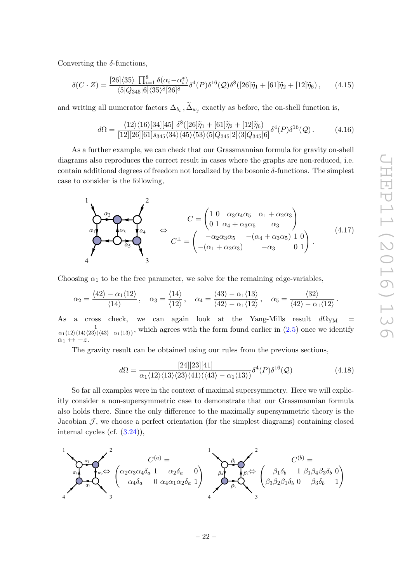Converting the  $\delta$ -functions,

$$
\delta(C \cdot Z) = \frac{[26]\langle 35 \rangle \prod_{i=1}^{8} \delta(\alpha_i - \alpha_i^*)}{\langle 5|Q_{345}|6\rangle\langle 35\rangle^8 [26]^8} \delta^4(P) \delta^{16}(Q) \delta^8([26]\tilde{\eta}_1 + [61]\tilde{\eta}_2 + [12]\tilde{\eta}_6), \qquad (4.15)
$$

and writing all numerator factors  $\Delta_{b_i}$ ,  $\Delta_{w_j}$  exactly as before, the on-shell function is,

$$
d\Omega = \frac{\langle 12 \rangle \langle 16 \rangle [34][45] \delta^8([26]\tilde{\eta}_1 + [61]\tilde{\eta}_2 + [12]\tilde{\eta}_6)}{[12][26][61]s_{345}\langle 34 \rangle \langle 45 \rangle \langle 53 \rangle \langle 5|Q_{345}|2] \langle 3|Q_{345}|6]} \delta^4(P) \delta^{16}(Q). \tag{4.16}
$$

As a further example, we can check that our Grassmannian formula for gravity on-shell diagrams also reproduces the correct result in cases where the graphs are non-reduced, i.e. contain additional degrees of freedom not localized by the bosonic  $\delta$ -functions. The simplest case to consider is the following,

$$
C = \begin{pmatrix} 1 & 0 & \alpha_3 \alpha_4 \alpha_5 & \alpha_1 + \alpha_2 \alpha_3 \\ 0 & 1 & \alpha_4 + \alpha_3 \alpha_5 & \alpha_3 \end{pmatrix}
$$
  
\n
$$
C^{\perp} = \begin{pmatrix} 1 & 0 & \alpha_3 \alpha_4 \alpha_5 & \alpha_1 + \alpha_2 \alpha_3 \\ 0 & 1 & \alpha_4 + \alpha_3 \alpha_5 & \alpha_3 \end{pmatrix}
$$
  
\n
$$
C^{\perp} = \begin{pmatrix} -\alpha_2 \alpha_3 \alpha_5 & -(\alpha_4 + \alpha_3 \alpha_5) & 1 & 0 \\ -(\alpha_1 + \alpha_2 \alpha_3) & -\alpha_3 & 0 & 1 \end{pmatrix}.
$$
\n
$$
(4.17)
$$

Choosing  $\alpha_1$  to be the free parameter, we solve for the remaining edge-variables,

$$
\alpha_2 = \frac{\langle 42 \rangle - \alpha_1 \langle 12 \rangle}{\langle 14 \rangle}, \quad \alpha_3 = \frac{\langle 14 \rangle}{\langle 12 \rangle}, \quad \alpha_4 = \frac{\langle 43 \rangle - \alpha_1 \langle 13 \rangle}{\langle 42 \rangle - \alpha_1 \langle 12 \rangle}, \quad \alpha_5 = \frac{\langle 32 \rangle}{\langle 42 \rangle - \alpha_1 \langle 12 \rangle}.
$$

As a cross check, we can again look at the Yang-Mills result  $d\Omega_{YM}$  = 1  $\frac{1}{\alpha_1\langle12\rangle\langle14\rangle\langle23\rangle\langle43\rangle-\alpha_1\langle13\rangle)}$ , which agrees with the form found earlier in  $(2.5)$  once we identify  $\alpha_1 \leftrightarrow -z.$ 

The gravity result can be obtained using our rules from the previous sections,

$$
d\Omega = \frac{[24][23][41]}{\alpha_1 \langle 12 \rangle \langle 13 \rangle \langle 23 \rangle \langle 41 \rangle (\langle 43 \rangle - \alpha_1 \langle 13 \rangle)} \delta^4(P) \delta^{16}(\mathcal{Q})
$$
(4.18)

So far all examples were in the context of maximal supersymmetry. Here we will explicitly consider a non-supersymmetric case to demonstrate that our Grassmannian formula also holds there. Since the only difference to the maximally supersymmetric theory is the Jacobian  $\mathcal{J}$ , we choose a perfect orientation (for the simplest diagrams) containing closed internal cycles (cf. [\(3.24\)](#page-18-0)),

$$
\sum_{a_4}^{a_4} \sum_{\alpha_3}^{a_1} \underbrace{\left(\alpha_2 \alpha_3 \alpha_4 \delta_a \begin{array}{cc} 1 \\ 1 \\ \alpha_4 \delta_a \end{array}\right)}_{3} \underbrace{\left(\alpha_2 \alpha_3 \alpha_4 \delta_a \begin{array}{cc} 1 \\ 1 \\ 0 \\ \alpha_4 \alpha_1 \alpha_2 \delta_a \end{array}\right)}_{4} \underbrace{\left(\beta_4 \sum_{\beta_3}^{a_1} \underbrace{\beta_2}_{\beta_3} \Leftrightarrow}_{3} \underbrace{\left(\beta_1 \delta_b \begin{array}{cc} 1 \\ 1 \end{array}\right)_{\beta_1 \beta_4 \beta_3 \delta_b \begin{array}{cc} 0 \\ 0 \\ 1 \end{array}\right)}_{3}
$$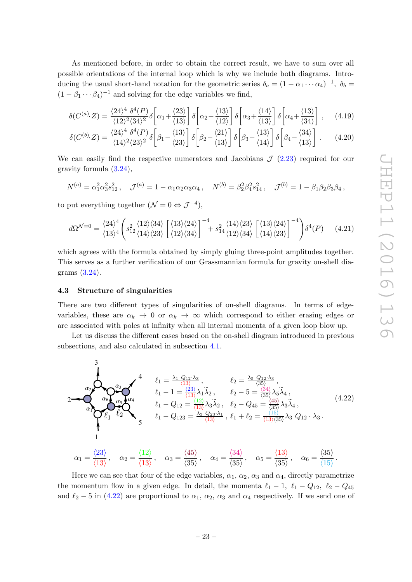JHEP11(2016)136 JHEP11(2016)136

As mentioned before, in order to obtain the correct result, we have to sum over all possible orientations of the internal loop which is why we include both diagrams. Introducing the usual short-hand notation for the geometric series  $\delta_a = (1 - \alpha_1 \cdots \alpha_4)^{-1}$ ,  $\delta_b =$  $(1 - \beta_1 \cdots \beta_4)^{-1}$  and solving for the edge variables we find,

$$
\delta(C^{(a)} \cdot Z) = \frac{\langle 24 \rangle^4 \ \delta^4(P)}{\langle 12 \rangle^2 \langle 34 \rangle^2} \delta\left[\alpha_1 + \frac{\langle 23 \rangle}{\langle 13 \rangle}\right] \delta\left[\alpha_2 - \frac{\langle 13 \rangle}{\langle 12 \rangle}\right] \delta\left[\alpha_3 + \frac{\langle 14 \rangle}{\langle 13 \rangle}\right] \delta\left[\alpha_4 + \frac{\langle 13 \rangle}{\langle 34 \rangle}\right] ,\tag{4.19}
$$

$$
\delta(C^{(b)} \cdot Z) = \frac{\langle 24 \rangle^4 \ \delta^4(P)}{\langle 14 \rangle^2 \langle 23 \rangle^2} \delta \left[ \beta_1 - \frac{\langle 13 \rangle}{\langle 23 \rangle} \right] \delta \left[ \beta_2 - \frac{\langle 21 \rangle}{\langle 13 \rangle} \right] \delta \left[ \beta_3 - \frac{\langle 13 \rangle}{\langle 14 \rangle} \right] \delta \left[ \beta_4 - \frac{\langle 34 \rangle}{\langle 13 \rangle} \right] . \tag{4.20}
$$

We can easily find the respective numerators and Jacobians  $J(2.23)$  $J(2.23)$  required for our gravity formula [\(3.24\)](#page-18-0),

$$
N^{(a)} = \alpha_1^2 \alpha_3^2 s_{12}^2, \quad \mathcal{J}^{(a)} = 1 - \alpha_1 \alpha_2 \alpha_3 \alpha_4, \quad N^{(b)} = \beta_2^2 \beta_4^2 s_{14}^2, \quad \mathcal{J}^{(b)} = 1 - \beta_1 \beta_2 \beta_3 \beta_4,
$$

to put everything together  $(\mathcal{N}=0 \Leftrightarrow \mathcal{J}^{-4}),$ 

$$
d\Omega^{\mathcal{N}=0} = \frac{\langle 24 \rangle^4}{\langle 13 \rangle^4} \left( s_{12}^2 \frac{\langle 12 \rangle \langle 34 \rangle}{\langle 14 \rangle \langle 23 \rangle} \left[ \frac{\langle 13 \rangle \langle 24 \rangle}{\langle 12 \rangle \langle 34 \rangle} \right]^{-4} + s_{14}^2 \frac{\langle 14 \rangle \langle 23 \rangle}{\langle 12 \rangle \langle 34 \rangle} \left[ \frac{\langle 13 \rangle \langle 24 \rangle}{\langle 14 \rangle \langle 23 \rangle} \right]^{-4} \right) \delta^4(P) \tag{4.21}
$$

which agrees with the formula obtained by simply gluing three-point amplitudes together. This serves as a further verification of our Grassmannian formula for gravity on-shell diagrams [\(3.24\)](#page-18-0).

### <span id="page-23-0"></span>4.3 Structure of singularities

There are two different types of singularities of on-shell diagrams. In terms of edgevariables, these are  $\alpha_k \to 0$  or  $\alpha_k \to \infty$  which correspond to either erasing edges or are associated with poles at infinity when all internal momenta of a given loop blow up.

Let us discuss the different cases based on the on-shell diagram introduced in previous subsections, and also calculated in subsection [4.1.](#page-19-1)

<span id="page-23-1"></span>
$$
\begin{array}{ll}\n\mathbf{1} & \mathbf{0} \\
\mathbf{1} & \mathbf{1} \\
\mathbf{0} & \mathbf{1} \\
\mathbf{1} & \mathbf{0} \\
\mathbf{1} & \mathbf{0} \\
\mathbf{1} & \mathbf{0} \\
\mathbf{1} & \mathbf{0} \\
\mathbf{1} & \mathbf{0} \\
\mathbf{1} & \mathbf{0} \\
\mathbf{1} & \mathbf{0} \\
\mathbf{1} & \mathbf{0} \\
\mathbf{1} & \mathbf{0} \\
\mathbf{1} & \mathbf{0} \\
\mathbf{1} & \mathbf{0} \\
\mathbf{1} & \mathbf{0} \\
\mathbf{1} & \mathbf{0} \\
\mathbf{1} & \mathbf{0} \\
\mathbf{1} & \mathbf{0} \\
\mathbf{1} & \mathbf{0} \\
\mathbf{1} & \mathbf{0} \\
\mathbf{1} & \mathbf{0} \\
\mathbf{1} & \mathbf{0} \\
\mathbf{1} & \mathbf{0} \\
\mathbf{1} & \mathbf{0} \\
\mathbf{1} & \mathbf{0} \\
\mathbf{1} & \mathbf{0} \\
\mathbf{1} & \mathbf{0} \\
\mathbf{1} & \mathbf{0} \\
\mathbf{1} & \mathbf{0} \\
\mathbf{1} & \mathbf{0} \\
\mathbf{1} & \mathbf{0} \\
\mathbf{1} & \mathbf{0} \\
\mathbf{1} & \mathbf{0} \\
\mathbf{1} & \mathbf{0} \\
\mathbf{1} & \mathbf{0} \\
\mathbf{1} & \mathbf{0} \\
\mathbf{1} & \mathbf{0} \\
\mathbf{1} & \mathbf{0} \\
\mathbf{1} & \mathbf{0} \\
\mathbf{1} & \mathbf{0} \\
\mathbf{1} & \mathbf{0} \\
\mathbf{1} & \mathbf{0} \\
\mathbf{1} & \mathbf{0} \\
\mathbf{1} & \mathbf{0} \\
\mathbf{1} & \mathbf{0} \\
\mathbf{1} & \mathbf{0} \\
\mathbf{1} & \mathbf{0} \\
\mathbf{1} & \mathbf{0} \\
\mathbf{1} & \mathbf{0} \\
\mathbf{1} & \mathbf{0} \\
\mathbf{1} & \mathbf{0} \\
\mathbf{1} & \mathbf{0} \\
\mathbf{1} & \mathbf{0} \\
\mathbf{1} & \mathbf
$$

Here we can see that four of the edge variables,  $\alpha_1$ ,  $\alpha_2$ ,  $\alpha_3$  and  $\alpha_4$ , directly parametrize the momentum flow in a given edge. In detail, the momenta  $\ell_1 - 1$ ,  $\ell_1 - Q_{12}$ ,  $\ell_2 - Q_{45}$ and  $\ell_2$  − 5 in [\(4.22\)](#page-23-1) are proportional to  $\alpha_1$ ,  $\alpha_2$ ,  $\alpha_3$  and  $\alpha_4$  respectively. If we send one of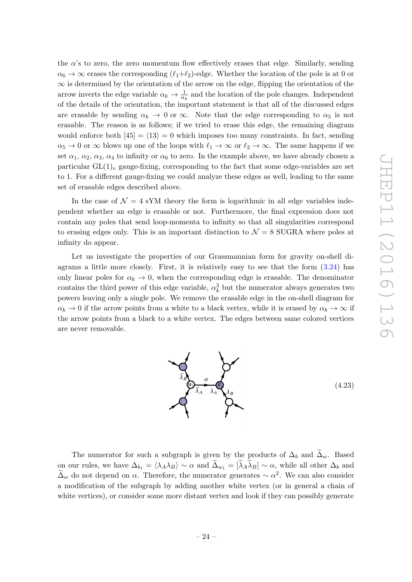the  $\alpha$ 's to zero, the zero momentum flow effectively erases that edge. Similarly, sending  $\alpha_6 \to \infty$  erases the corresponding  $(\ell_1+\ell_2)$ -edge. Whether the location of the pole is at 0 or  $\infty$  is determined by the orientation of the arrow on the edge, flipping the orientation of the arrow inverts the edge variable  $\alpha_k \to \frac{1}{\alpha_k}$  and the location of the pole changes. Independent of the details of the orientation, the important statement is that all of the discussed edges are erasable by sending  $\alpha_k \to 0$  or  $\infty$ . Note that the edge corresponding to  $\alpha_5$  is not erasable. The reason is as follows; if we tried to erase this edge, the remaining diagram would enforce both  $|45| = \langle 13 \rangle = 0$  which imposes too many constraints. In fact, sending  $\alpha_5 \to 0$  or  $\infty$  blows up one of the loops with  $\ell_1 \to \infty$  or  $\ell_2 \to \infty$ . The same happens if we set  $\alpha_1, \alpha_2, \alpha_3, \alpha_4$  to infinity or  $\alpha_6$  to zero. In the example above, we have already chosen a particular  $GL(1)_v$  gauge-fixing, corresponding to the fact that some edge-variables are set to 1. For a different gauge-fixing we could analyze these edges as well, leading to the same set of erasable edges described above.

In the case of  $\mathcal{N} = 4$  sYM theory the form is logarithmic in all edge variables independent whether an edge is erasable or not. Furthermore, the final expression does not contain any poles that send loop-momenta to infinity so that all singularities correspond to erasing edges only. This is an important distinction to  $\mathcal{N}=8$  SUGRA where poles at infinity do appear.

Let us investigate the properties of our Grassmannian form for gravity on-shell diagrams a little more closely. First, it is relatively easy to see that the form [\(3.24\)](#page-18-0) has only linear poles for  $\alpha_k \to 0$ , when the corresponding edge is erasable. The denominator contains the third power of this edge variable,  $\alpha_k^3$  but the numerator always generates two powers leaving only a single pole. We remove the erasable edge in the on-shell diagram for  $\alpha_k \to 0$  if the arrow points from a white to a black vertex, while it is erased by  $\alpha_k \to \infty$  if the arrow points from a black to a white vertex. The edges between same colored vertices are never removable.



The numerator for such a subgraph is given by the products of  $\Delta_b$  and  $\Delta_w$ . Based on our rules, we have  $\Delta_{b_1} = \langle \lambda_A \lambda_B \rangle \sim \alpha$  and  $\tilde{\Delta}_{w_1} = [\tilde{\lambda}_A \tilde{\lambda}_B] \sim \alpha$ , while all other  $\Delta_b$  and  $\tilde{\Delta}_w$  do not depend on  $\alpha$ . Therefore, the numerator generates  $\sim \alpha^2$ . We can also consider a modification of the subgraph by adding another white vertex (or in general a chain of white vertices), or consider some more distant vertex and look if they can possibly generate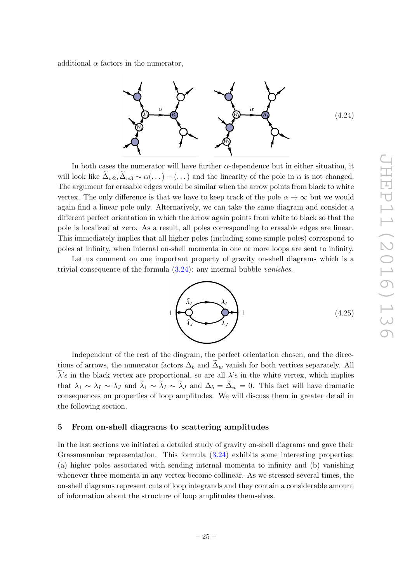additional  $\alpha$  factors in the numerator,



In both cases the numerator will have further  $\alpha$ -dependence but in either situation, it will look like  $\Delta_{w2}, \Delta_{w3} \sim \alpha(\dots) + (\dots)$  and the linearity of the pole in  $\alpha$  is not changed. The argument for erasable edges would be similar when the arrow points from black to white vertex. The only difference is that we have to keep track of the pole  $\alpha \to \infty$  but we would again find a linear pole only. Alternatively, we can take the same diagram and consider a different perfect orientation in which the arrow again points from white to black so that the pole is localized at zero. As a result, all poles corresponding to erasable edges are linear. This immediately implies that all higher poles (including some simple poles) correspond to poles at infinity, when internal on-shell momenta in one or more loops are sent to infinity.

Let us comment on one important property of gravity on-shell diagrams which is a trivial consequence of the formula  $(3.24)$ : any internal bubble *vanishes*.



Independent of the rest of the diagram, the perfect orientation chosen, and the directions of arrows, the numerator factors  $\Delta_b$  and  $\Delta_w$  vanish for both vertices separately. All  $\lambda$ 's in the black vertex are proportional, so are all  $\lambda$ 's in the white vertex, which implies that  $\lambda_1 \sim \lambda_I \sim \lambda_J$  and  $\lambda_1 \sim \lambda_I \sim \lambda_J$  and  $\Delta_b = \Delta_w = 0$ . This fact will have dramatic consequences on properties of loop amplitudes. We will discuss them in greater detail in the following section.

### <span id="page-25-0"></span>5 From on-shell diagrams to scattering amplitudes

In the last sections we initiated a detailed study of gravity on-shell diagrams and gave their Grassmannian representation. This formula [\(3.24\)](#page-18-0) exhibits some interesting properties: (a) higher poles associated with sending internal momenta to infinity and (b) vanishing whenever three momenta in any vertex become collinear. As we stressed several times, the on-shell diagrams represent cuts of loop integrands and they contain a considerable amount of information about the structure of loop amplitudes themselves.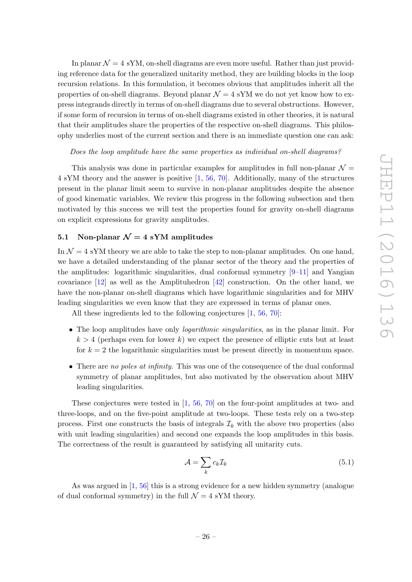In planar  $\mathcal{N} = 4$  sYM, on-shell diagrams are even more useful. Rather than just providing reference data for the generalized unitarity method, they are building blocks in the loop recursion relations. In this formulation, it becomes obvious that amplitudes inherit all the properties of on-shell diagrams. Beyond planar  $\mathcal{N} = 4$  sYM we do not yet know how to express integrands directly in terms of on-shell diagrams due to several obstructions. However, if some form of recursion in terms of on-shell diagrams existed in other theories, it is natural that their amplitudes share the properties of the respective on-shell diagrams. This philosophy underlies most of the current section and there is an immediate question one can ask:

### Does the loop amplitude have the same properties as individual on-shell diagrams?

This analysis was done in particular examples for amplitudes in full non-planar  $\mathcal{N} =$ 4 sYM theory and the answer is positive [\[1,](#page-35-0) [56,](#page-38-3) [70\]](#page-39-5). Additionally, many of the structures present in the planar limit seem to survive in non-planar amplitudes despite the absence of good kinematic variables. We review this progress in the following subsection and then motivated by this success we will test the properties found for gravity on-shell diagrams on explicit expressions for gravity amplitudes.

### <span id="page-26-0"></span>5.1 Non-planar  $\mathcal{N}=4$  sYM amplitudes

In  $\mathcal{N} = 4$  sYM theory we are able to take the step to non-planar amplitudes. On one hand, we have a detailed understanding of the planar sector of the theory and the properties of the amplitudes: logarithmic singularities, dual conformal symmetry  $[9-11]$  $[9-11]$  and Yangian covariance [\[12\]](#page-36-3) as well as the Amplituhedron [\[42\]](#page-37-7) construction. On the other hand, we have the non-planar on-shell diagrams which have logarithmic singularities and for MHV leading singularities we even know that they are expressed in terms of planar ones.

All these ingredients led to the following conjectures [\[1,](#page-35-0) [56,](#page-38-3) [70\]](#page-39-5):

- The loop amplitudes have only *logarithmic singularities*, as in the planar limit. For  $k > 4$  (perhaps even for lower k) we expect the presence of elliptic cuts but at least for  $k = 2$  the logarithmic singularities must be present directly in momentum space.
- There are no poles at infinity. This was one of the consequence of the dual conformal symmetry of planar amplitudes, but also motivated by the observation about MHV leading singularities.

These conjectures were tested in [\[1,](#page-35-0) [56,](#page-38-3) [70\]](#page-39-5) on the four-point amplitudes at two- and three-loops, and on the five-point amplitude at two-loops. These tests rely on a two-step process. First one constructs the basis of integrals  $\mathcal{I}_k$  with the above two properties (also with unit leading singularities) and second one expands the loop amplitudes in this basis. The correctness of the result is guaranteed by satisfying all unitarity cuts.

<span id="page-26-1"></span>
$$
\mathcal{A} = \sum_{k} c_k \mathcal{I}_k \tag{5.1}
$$

As was argued in [\[1,](#page-35-0) [56\]](#page-38-3) this is a strong evidence for a new hidden symmetry (analogue of dual conformal symmetry) in the full  $\mathcal{N}=4$  sYM theory.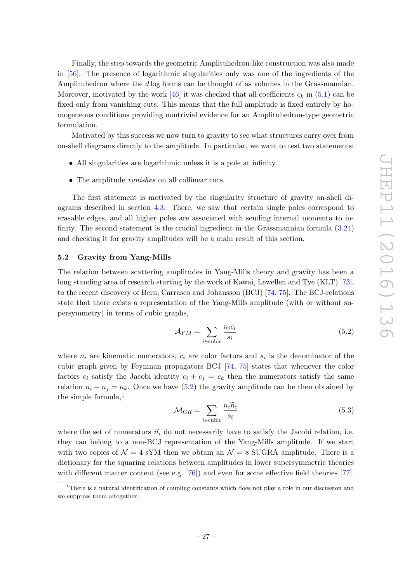Finally, the step towards the geometric Amplituhedron-like construction was also made in [\[56\]](#page-38-3). The presence of logarithmic singularities only was one of the ingredients of the Amplituhedron where the d log forms can be thought of as volumes in the Grassmannian. Moreover, motivated by the work [\[46\]](#page-38-13) it was checked that all coefficients  $c_k$  in [\(5.1\)](#page-26-1) can be fixed only from vanishing cuts. This means that the full amplitude is fixed entirely by homogeneous conditions providing nontrivial evidence for an Amplituhedron-type geometric formulation.

Motivated by this success we now turn to gravity to see what structures carry over from on-shell diagrams directly to the amplitude. In particular, we want to test two statements:

- All singularities are logarithmic unless it is a pole at infinity.
- The amplitude vanishes on all collinear cuts.

The first statement is motivated by the singularity structure of gravity on-shell diagrams described in section [4.3.](#page-23-0) There, we saw that certain single poles correspond to erasable edges, and all higher poles are associated with sending internal momenta to infinity. The second statement is the crucial ingredient in the Grassmannian formula [\(3.24\)](#page-18-0) and checking it for gravity amplitudes will be a main result of this section.

### <span id="page-27-0"></span>5.2 Gravity from Yang-Mills

The relation between scattering amplitudes in Yang-Mills theory and gravity has been a long standing area of research starting by the work of Kawai, Lewellen and Tye (KLT) [\[73\]](#page-39-8), to the recent discovery of Bern, Carrasco and Johansson (BCJ) [\[74,](#page-39-9) [75\]](#page-39-10). The BCJ-relations state that there exists a representation of the Yang-Mills amplitude (with or without supersymmetry) in terms of cubic graphs,

<span id="page-27-1"></span>
$$
\mathcal{A}_{YM} = \sum_{i \in \text{cubic}} \frac{n_i c_i}{s_i} \tag{5.2}
$$

where  $n_i$  are kinematic numerators,  $c_i$  are color factors and  $s_i$  is the denominator of the cubic graph given by Feynman propagators BCJ [\[74,](#page-39-9) [75\]](#page-39-10) states that whenever the color factors  $c_i$  satisfy the Jacobi identity  $c_i + c_j = c_k$  then the numerators satisfy the same relation  $n_i + n_j = n_k$ . Once we have [\(5.2\)](#page-27-1) the gravity amplitude can be then obtained by the simple formula, $<sup>1</sup>$  $<sup>1</sup>$  $<sup>1</sup>$ </sup>

<span id="page-27-3"></span>
$$
\mathcal{M}_{GR} = \sum_{i \in \text{cubic}} \frac{n_i \tilde{n}_i}{s_i} \tag{5.3}
$$

where the set of numerators  $\tilde{n}_i$  do not necessarily have to satisfy the Jacobi relation, i.e. they can belong to a non-BCJ representation of the Yang-Mills amplitude. If we start with two copies of  $\mathcal{N} = 4$  sYM then we obtain an  $\mathcal{N} = 8$  SUGRA amplitude. There is a dictionary for the squaring relations between amplitudes in lower supersymmetric theories with different matter content (see e.g. [\[76\]](#page-39-11)) and even for some effective field theories [\[77\]](#page-39-12).

<span id="page-27-2"></span><sup>&</sup>lt;sup>1</sup>There is a natural identification of coupling constants which does not play a role in our discussion and we suppress them altogether.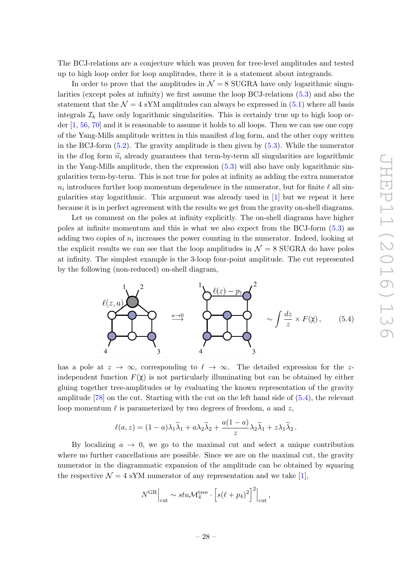The BCJ-relations are a conjecture which was proven for tree-level amplitudes and tested up to high loop order for loop amplitudes, there it is a statement about integrands.

In order to prove that the amplitudes in  $\mathcal{N} = 8$  SUGRA have only logarithmic singularities (except poles at infinity) we first assume the loop BCJ-relations [\(5.3\)](#page-27-3) and also the statement that the  $\mathcal{N} = 4$  sYM amplitudes can always be expressed in [\(5.1\)](#page-26-1) where all basis integrals  $\mathcal{I}_k$  have only logarithmic singularities. This is certainly true up to high loop order [\[1,](#page-35-0) [56,](#page-38-3) [70\]](#page-39-5) and it is reasonable to assume it holds to all loops. Then we can use one copy of the Yang-Mills amplitude written in this manifest d log form, and the other copy written in the BCJ-form [\(5.2\)](#page-27-1). The gravity amplitude is then given by [\(5.3\)](#page-27-3). While the numerator in the d log form  $\tilde{n}_i$  already guarantees that term-by-term all singularities are logarithmic in the Yang-Mills amplitude, then the expression [\(5.3\)](#page-27-3) will also have only logarithmic singularities term-by-term. This is not true for poles at infinity as adding the extra numerator  $n_i$  introduces further loop momentum dependence in the numerator, but for finite  $\ell$  all singularities stay logarithmic. This argument was already used in [\[1\]](#page-35-0) but we repeat it here because it is in perfect agreement with the results we get from the gravity on-shell diagrams.

Let us comment on the poles at infinity explicitly. The on-shell diagrams have higher poles at infinite momentum and this is what we also expect from the BCJ-form [\(5.3\)](#page-27-3) as adding two copies of  $n_i$  increases the power counting in the numerator. Indeed, looking at the explicit results we can see that the loop amplitudes in  $\mathcal{N}=8$  SUGRA do have poles at infinity. The simplest example is the 3-loop four-point amplitude. The cut represented by the following (non-reduced) on-shell diagram,

<span id="page-28-0"></span>

has a pole at  $z \to \infty$ , corresponding to  $\ell \to \infty$ . The detailed expression for the zindependent function  $F(\chi)$  is not particularly illuminating but can be obtained by either gluing together tree-amplitudes or by evaluating the known representation of the gravity amplitude [\[78\]](#page-39-13) on the cut. Starting with the cut on the left hand side of [\(5.4\)](#page-28-0), the relevant loop momentum  $\ell$  is parameterized by two degrees of freedom, a and z,

$$
\ell(a, z) = (1 - a)\lambda_1 \widetilde{\lambda}_1 + a\lambda_2 \widetilde{\lambda}_2 + \frac{a(1 - a)}{z} \lambda_2 \widetilde{\lambda}_1 + z\lambda_1 \widetilde{\lambda}_2.
$$

By localizing  $a \rightarrow 0$ , we go to the maximal cut and select a unique contribution where no further cancellations are possible. Since we are on the maximal cut, the gravity numerator in the diagrammatic expansion of the amplitude can be obtained by squaring the respective  $\mathcal{N} = 4$  sYM numerator of any representation and we take [\[1\]](#page-35-0),

$$
N^{GR}\Big|_{\text{cut}} \sim stu\mathcal{M}_4^{\text{tree}} \cdot \left[ s(\ell + p_4)^2 \right]^2 \Big|_{\text{cut}},
$$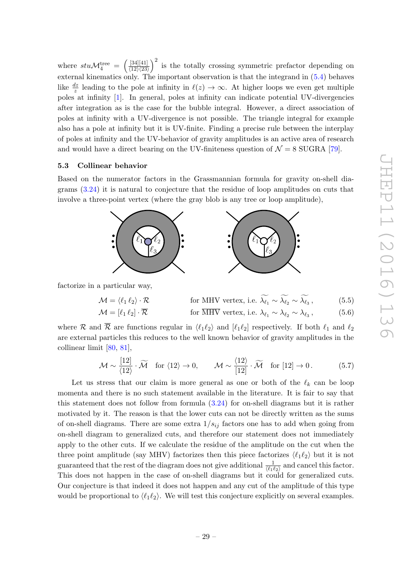where  $stu\mathcal{M}_4^{\text{tree}}$  =  $\left( \frac{[34][41]}{[41]} \right)$  $\langle 12 \rangle \langle 23 \rangle$ )<sup>2</sup> is the totally crossing symmetric prefactor depending on external kinematics only. The important observation is that the integrand in [\(5.4\)](#page-28-0) behaves like  $\frac{dz}{z}$  leading to the pole at infinity in  $\ell(z) \to \infty$ . At higher loops we even get multiple poles at infinity [\[1\]](#page-35-0). In general, poles at infinity can indicate potential UV-divergencies after integration as is the case for the bubble integral. However, a direct association of poles at infinity with a UV-divergence is not possible. The triangle integral for example also has a pole at infinity but it is UV-finite. Finding a precise rule between the interplay of poles at infinity and the UV-behavior of gravity amplitudes is an active area of research and would have a direct bearing on the UV-finiteness question of  $\mathcal{N} = 8$  SUGRA [\[79\]](#page-39-14).

### <span id="page-29-0"></span>5.3 Collinear behavior

Based on the numerator factors in the Grassmannian formula for gravity on-shell diagrams [\(3.24\)](#page-18-0) it is natural to conjecture that the residue of loop amplitudes on cuts that involve a three-point vertex (where the gray blob is any tree or loop amplitude),



factorize in a particular way,

$$
\mathcal{M} = \langle \ell_1 \, \ell_2 \rangle \cdot \mathcal{R} \qquad \text{for MHV vertex, i.e. } \widetilde{\lambda_{\ell_1}} \sim \widetilde{\lambda_{\ell_2}} \sim \widetilde{\lambda_{\ell_3}}, \qquad (5.5)
$$

$$
\mathcal{M} = [\ell_1 \ell_2] \cdot \overline{\mathcal{R}} \qquad \text{for } \overline{\text{MHV}} \text{ vertex, i.e. } \lambda_{\ell_1} \sim \lambda_{\ell_2} \sim \lambda_{\ell_3}, \qquad (5.6)
$$

where R and  $\overline{\mathcal{R}}$  are functions regular in  $\langle \ell_1 \ell_2 \rangle$  and  $[\ell_1 \ell_2]$  respectively. If both  $\ell_1$  and  $\ell_2$ are external particles this reduces to the well known behavior of gravity amplitudes in the collinear limit [\[80,](#page-39-15) [81\]](#page-39-16),

$$
\mathcal{M} \sim \frac{[12]}{\langle 12 \rangle} \cdot \widetilde{\mathcal{M}} \quad \text{for } \langle 12 \rangle \to 0, \qquad \mathcal{M} \sim \frac{\langle 12 \rangle}{[12]} \cdot \widetilde{\mathcal{M}} \quad \text{for } [12] \to 0. \tag{5.7}
$$

Let us stress that our claim is more general as one or both of the  $\ell_k$  can be loop momenta and there is no such statement available in the literature. It is fair to say that this statement does not follow from formula [\(3.24\)](#page-18-0) for on-shell diagrams but it is rather motivated by it. The reason is that the lower cuts can not be directly written as the sums of on-shell diagrams. There are some extra  $1/s_{ij}$  factors one has to add when going from on-shell diagram to generalized cuts, and therefore our statement does not immediately apply to the other cuts. If we calculate the residue of the amplitude on the cut when the three point amplitude (say MHV) factorizes then this piece factorizes  $\langle \ell_1 \ell_2 \rangle$  but it is not guaranteed that the rest of the diagram does not give additional  $\frac{1}{\langle \ell_1 \ell_2 \rangle}$  and cancel this factor. This does not happen in the case of on-shell diagrams but it could for generalized cuts. Our conjecture is that indeed it does not happen and any cut of the amplitude of this type would be proportional to  $\langle \ell_1 \ell_2 \rangle$ . We will test this conjecture explicitly on several examples.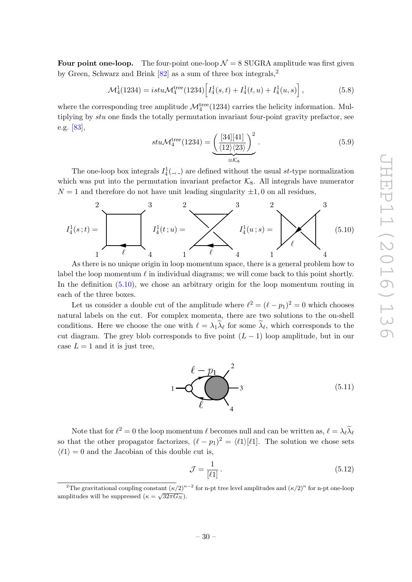**Four point one-loop.** The four-point one-loop  $\mathcal{N} = 8$  SUGRA amplitude was first given by Green, Schwarz and Brink  $[82]$  $[82]$  $[82]$  as a sum of three box integrals,<sup>2</sup>

<span id="page-30-2"></span>
$$
\mathcal{M}_4^1(1234) = istu\mathcal{M}_4^{\text{tree}}(1234) \Big[ I_4^1(s,t) + I_4^1(t,u) + I_4^1(u,s) \Big],\tag{5.8}
$$

where the corresponding tree amplitude  $\mathcal{M}_4^{\text{tree}}(1234)$  carries the helicity information. Multiplying by stu one finds the totally permutation invariant four-point gravity prefactor, see e.g. [\[83\]](#page-39-18),

$$
stu\mathcal{M}_4^{\text{tree}}(1234) = \underbrace{\left(\frac{[34][41]}{\langle 12\rangle\langle 23\rangle}\right)^2}_{\equiv \mathcal{K}_8}.
$$
\n(5.9)

The one-loop box integrals  $I_4^1(.,.)$  are defined without the usual st-type normalization which was put into the permutation invariant prefactor  $K_8$ . All integrals have numerator  $N = 1$  and therefore do not have unit leading singularity  $\pm 1, 0$  on all residues,

<span id="page-30-1"></span>

As there is no unique origin in loop momentum space, there is a general problem how to label the loop momentum  $\ell$  in individual diagrams; we will come back to this point shortly. In the definition [\(5.10\)](#page-30-1), we chose an arbitrary origin for the loop momentum routing in each of the three boxes.

Let us consider a double cut of the amplitude where  $\ell^2 = (\ell - p_1)^2 = 0$  which chooses natural labels on the cut. For complex momenta, there are two solutions to the on-shell conditions. Here we choose the one with  $\ell = \lambda_1 \lambda_\ell$  for some  $\lambda_\ell$ , which corresponds to the cut diagram. The grey blob corresponds to five point  $(L - 1)$  loop amplitude, but in our case  $L = 1$  and it is just tree,

<span id="page-30-4"></span>

Note that for  $\ell^2 = 0$  the loop momentum  $\ell$  becomes null and can be written as,  $\ell = \lambda_\ell \widetilde{\lambda}_\ell$ so that the other propagator factorizes,  $(\ell - p_1)^2 = \langle \ell_1 \rangle [\ell_1]$ . The solution we chose sets  $\langle \ell_1 \rangle = 0$  and the Jacobian of this double cut is,

<span id="page-30-3"></span>
$$
\mathcal{J} = \frac{1}{\left[\ell 1\right]} \,. \tag{5.12}
$$

<span id="page-30-0"></span><sup>&</sup>lt;sup>2</sup>The gravitational coupling constant  $(\kappa/2)^{n-2}$  for n-pt tree level amplitudes and  $(\kappa/2)^n$  for n-pt one-loop amplitudes will be suppressed  $(\kappa = \sqrt{32\pi G_N})$ .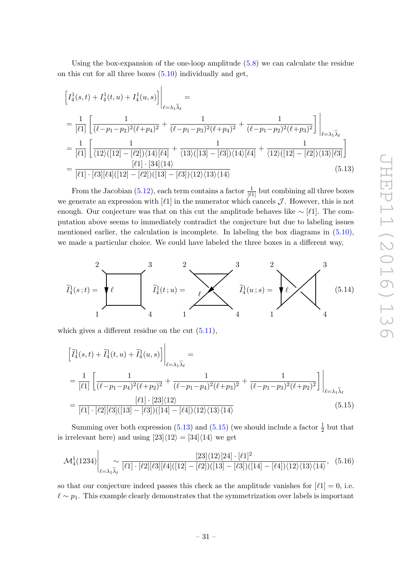Using the box-expansion of the one-loop amplitude [\(5.8\)](#page-30-2) we can calculate the residue on this cut for all three boxes [\(5.10\)](#page-30-1) individually and get,

$$
\begin{split}\n\left[I_4^1(s,t) + I_4^1(t,u) + I_4^1(u,s)\right] \Big|_{\ell=\lambda_1\tilde{\lambda}_{\ell}} &= \\
&= \frac{1}{[\ell 1]} \left[ \frac{1}{(\ell - p_1 - p_2)^2 (\ell + p_4)^2} + \frac{1}{(\ell - p_1 - p_3)^2 (\ell + p_4)^2} + \frac{1}{(\ell - p_1 - p_2)^2 (\ell + p_3)^2} \right] \Big|_{\ell=\lambda_1\tilde{\lambda}_{\ell}} \\
&= \frac{1}{[\ell 1]} \left[ \frac{1}{\langle 12 \rangle ([12] - [\ell 2]) \langle 14 \rangle [\ell 4]} + \frac{1}{\langle 13 \rangle ([13] - [\ell 3]) \langle 14 \rangle [\ell 4]} + \frac{1}{\langle 12 \rangle ([12] - [\ell 2]) \langle 13 \rangle [\ell 3]} \right] \\
&= \frac{[\ell 1] \cdot [34] \langle 14 \rangle}{[\ell 1] \cdot [\ell 3] [\ell 4] ([12] - [\ell 2]) ([13] - [\ell 3]) \langle 12 \rangle \langle 13 \rangle \langle 14 \rangle}\n\end{split} \tag{5.13}
$$

<span id="page-31-0"></span>From the Jacobian  $(5.12)$ , each term contains a factor  $\frac{1}{[\ell]1}$  but combining all three boxes we generate an expression with  $[\ell]$  in the numerator which cancels  $\mathcal{J}$ . However, this is not enough. Our conjecture was that on this cut the amplitude behaves like  $\sim [\ell_1]$ . The computation above seems to immediately contradict the conjecture but due to labeling issues mentioned earlier, the calculation is incomplete. In labeling the box diagrams in  $(5.10)$ , we made a particular choice. We could have labeled the three boxes in a different way,



which gives a different residue on the cut  $(5.11)$ ,

<span id="page-31-1"></span>
$$
\begin{aligned}\n\left[\tilde{I}_{4}^{1}(s,t) + \tilde{I}_{4}^{1}(t,u) + \tilde{I}_{4}^{1}(u,s)\right] \Big|_{\ell=\lambda_{1}\tilde{\lambda}_{\ell}} &= \\
&= \frac{1}{[\ell 1]} \left[ \frac{1}{(\ell-p_{1}-p_{4})^{2}(\ell+p_{2})^{2}} + \frac{1}{(\ell-p_{1}-p_{4})^{2}(\ell+p_{3})^{2}} + \frac{1}{(\ell-p_{1}-p_{3})^{2}(\ell+p_{2})^{2}} \right] \Big|_{\ell=\lambda_{1}\tilde{\lambda}_{\ell}} \\
&= \frac{[\ell 1] \cdot [23] \langle 12 \rangle}{[\ell 1] \cdot [\ell 2][\ell 3] \langle [13] - [\ell 3] \rangle \langle [14] - [\ell 4] \rangle \langle 12 \rangle \langle 13 \rangle \langle 14 \rangle}\n\end{aligned} \tag{5.15}
$$

Summing over both expression [\(5.13\)](#page-31-0) and [\(5.15\)](#page-31-1) (we should include a factor  $\frac{1}{2}$  but that is irrelevant here) and using  $[23]\langle 12 \rangle = [34]\langle 14 \rangle$  we get

$$
\mathcal{M}_{4}^{1}(1234)\Big|_{\ell=\lambda_{1}\widetilde{\lambda}_{\ell}}\sim\frac{[23]\langle12\rangle[24]\cdot[\ell1]^{2}}{[\ell1]\cdot[\ell2][\ell3][\ell4]([12]-[\ell2])([13]-[\ell3])([14]-[\ell4])\langle12\rangle\langle13\rangle\langle14\rangle},\quad(5.16)
$$

so that our conjecture indeed passes this check as the amplitude vanishes for  $[\ell_1] = 0$ , i.e.  $\ell \sim p_1$ . This example clearly demonstrates that the symmetrization over labels is important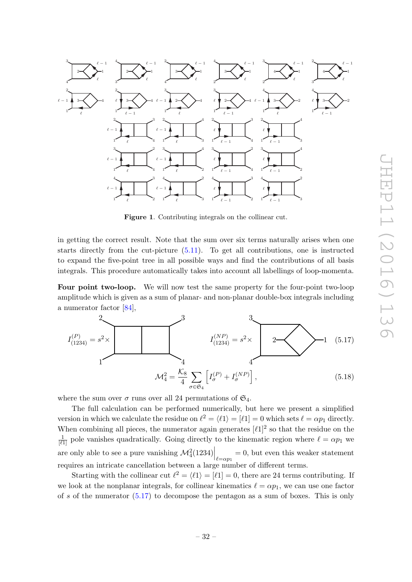

<span id="page-32-1"></span>Figure 1. Contributing integrals on the collinear cut.

in getting the correct result. Note that the sum over six terms naturally arises when one starts directly from the cut-picture [\(5.11\)](#page-30-4). To get all contributions, one is instructed to expand the five-point tree in all possible ways and find the contributions of all basis integrals. This procedure automatically takes into account all labellings of loop-momenta.

Four point two-loop. We will now test the same property for the four-point two-loop amplitude which is given as a sum of planar- and non-planar double-box integrals including a numerator factor [\[84\]](#page-40-0),

<span id="page-32-0"></span>. 1 2 3 4 I (P) (1234) = s 2× 4 3 I 2 1 (NP) (1234) = s <sup>2</sup><sup>×</sup> (5.17) <sup>M</sup><sup>2</sup> <sup>4</sup> = K8 4 X σ∈S<sup>4</sup> h I (P) <sup>σ</sup> + I (NP) σ i , (5.18)

where the sum over  $\sigma$  runs over all 24 permutations of  $\mathfrak{S}_4$ .

The full calculation can be performed numerically, but here we present a simplified version in which we calculate the residue on  $\ell^2 = \langle \ell_1 \rangle = [\ell_1] = 0$  which sets  $\ell = \alpha p_1$  directly. When combining all pieces, the numerator again generates  $[\ell 1]^2$  so that the residue on the  $\frac{1}{[\ell]!}$  pole vanishes quadratically. Going directly to the kinematic region where  $\ell = \alpha p_1$  we are only able to see a pure vanishing  $\mathcal{M}_{4}^{2}(1234)\Big|_{\ell=\alpha p_{1}}=0$ , but even this weaker statement requires an intricate cancellation between a large number of different terms.

Starting with the collinear cut  $\ell^2 = \langle \ell_1 \rangle = [\ell_1] = 0$ , there are 24 terms contributing. If we look at the nonplanar integrals, for collinear kinematics  $\ell = \alpha p_1$ , we can use one factor of s of the numerator  $(5.17)$  to decompose the pentagon as a sum of boxes. This is only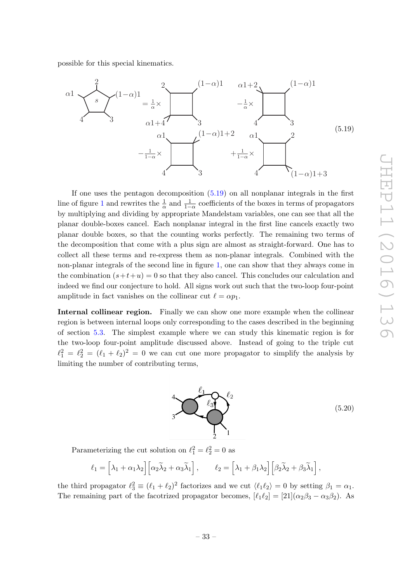possible for this special kinematics.

<span id="page-33-0"></span>

If one uses the pentagon decomposition [\(5.19\)](#page-33-0) on all nonplanar integrals in the first line of figure [1](#page-32-1) and rewrites the  $\frac{1}{\alpha}$  and  $\frac{1}{1-\alpha}$  coefficients of the boxes in terms of propagators by multiplying and dividing by appropriate Mandelstam variables, one can see that all the planar double-boxes cancel. Each nonplanar integral in the first line cancels exactly two planar double boxes, so that the counting works perfectly. The remaining two terms of the decomposition that come with a plus sign are almost as straight-forward. One has to collect all these terms and re-express them as non-planar integrals. Combined with the non-planar integrals of the second line in figure [1,](#page-32-1) one can show that they always come in the combination  $(s+t+u) = 0$  so that they also cancel. This concludes our calculation and indeed we find our conjecture to hold. All signs work out such that the two-loop four-point amplitude in fact vanishes on the collinear cut  $\ell = \alpha p_1$ .

Internal collinear region. Finally we can show one more example when the collinear region is between internal loops only corresponding to the cases described in the beginning of section [5.3.](#page-29-0) The simplest example where we can study this kinematic region is for the two-loop four-point amplitude discussed above. Instead of going to the triple cut  $\ell_1^2 = \ell_2^2 = (\ell_1 + \ell_2)^2 = 0$  we can cut one more propagator to simplify the analysis by limiting the number of contributing terms,

<span id="page-33-1"></span>

(5.20)

Parameterizing the cut solution on  $\ell_1^2 = \ell_2^2 = 0$  as

$$
\ell_1 = \left[\lambda_1 + \alpha_1 \lambda_2\right] \left[\alpha_2 \widetilde{\lambda}_2 + \alpha_3 \widetilde{\lambda}_1\right], \qquad \ell_2 = \left[\lambda_1 + \beta_1 \lambda_2\right] \left[\beta_2 \widetilde{\lambda}_2 + \beta_3 \widetilde{\lambda}_1\right],
$$

the third propagator  $\ell_3^2 \equiv (\ell_1 + \ell_2)^2$  factorizes and we cut  $\langle \ell_1 \ell_2 \rangle = 0$  by setting  $\beta_1 = \alpha_1$ . The remaining part of the facotrized propagator becomes,  $[\ell_1\ell_2] = [21](\alpha_2\beta_3 - \alpha_3\beta_2)$ . As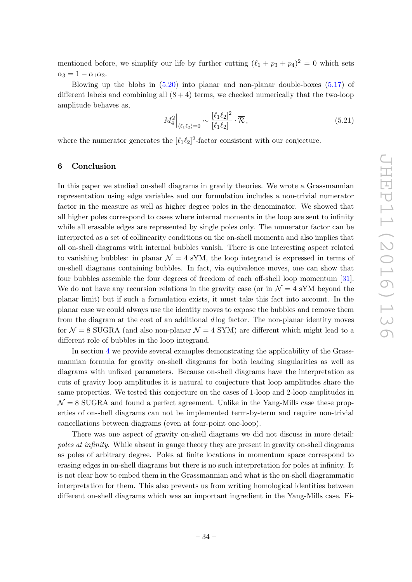mentioned before, we simplify our life by further cutting  $(\ell_1 + p_3 + p_4)^2 = 0$  which sets  $\alpha_3 = 1 - \alpha_1 \alpha_2$ .

Blowing up the blobs in [\(5.20\)](#page-33-1) into planar and non-planar double-boxes [\(5.17\)](#page-32-0) of different labels and combining all  $(8 + 4)$  terms, we checked numerically that the two-loop amplitude behaves as,

$$
M_4^2\Big|_{\langle\ell_1\ell_2\rangle=0} \sim \frac{[\ell_1\ell_2]^2}{[\ell_1\ell_2]} \cdot \overline{\mathcal{R}}\,,\tag{5.21}
$$

where the numerator generates the  $[\ell_1 \ell_2]^2$ -factor consistent with our conjecture.

### <span id="page-34-0"></span>6 Conclusion

In this paper we studied on-shell diagrams in gravity theories. We wrote a Grassmannian representation using edge variables and our formulation includes a non-trivial numerator factor in the measure as well as higher degree poles in the denominator. We showed that all higher poles correspond to cases where internal momenta in the loop are sent to infinity while all erasable edges are represented by single poles only. The numerator factor can be interpreted as a set of collinearity conditions on the on-shell momenta and also implies that all on-shell diagrams with internal bubbles vanish. There is one interesting aspect related to vanishing bubbles: in planar  $\mathcal{N} = 4$  sYM, the loop integrand is expressed in terms of on-shell diagrams containing bubbles. In fact, via equivalence moves, one can show that four bubbles assemble the four degrees of freedom of each off-shell loop momentum [\[31\]](#page-37-3). We do not have any recursion relations in the gravity case (or in  $\mathcal{N}=4$  sYM beyond the planar limit) but if such a formulation exists, it must take this fact into account. In the planar case we could always use the identity moves to expose the bubbles and remove them from the diagram at the cost of an additional d log factor. The non-planar identity moves for  $\mathcal{N} = 8$  SUGRA (and also non-planar  $\mathcal{N} = 4$  SYM) are different which might lead to a different role of bubbles in the loop integrand.

In section [4](#page-19-0) we provide several examples demonstrating the applicability of the Grassmannian formula for gravity on-shell diagrams for both leading singularities as well as diagrams with unfixed parameters. Because on-shell diagrams have the interpretation as cuts of gravity loop amplitudes it is natural to conjecture that loop amplitudes share the same properties. We tested this conjecture on the cases of 1-loop and 2-loop amplitudes in  $\mathcal{N}=8$  SUGRA and found a perfect agreement. Unlike in the Yang-Mills case these properties of on-shell diagrams can not be implemented term-by-term and require non-trivial cancellations between diagrams (even at four-point one-loop).

There was one aspect of gravity on-shell diagrams we did not discuss in more detail: poles at infinity. While absent in gauge theory they are present in gravity on-shell diagrams as poles of arbitrary degree. Poles at finite locations in momentum space correspond to erasing edges in on-shell diagrams but there is no such interpretation for poles at infinity. It is not clear how to embed them in the Grassmannian and what is the on-shell diagrammatic interpretation for them. This also prevents us from writing homological identities between different on-shell diagrams which was an important ingredient in the Yang-Mills case. Fi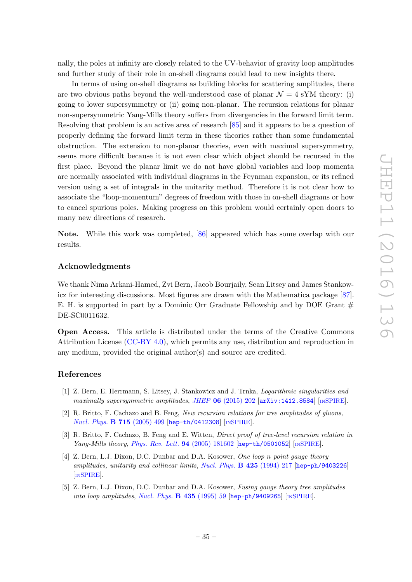nally, the poles at infinity are closely related to the UV-behavior of gravity loop amplitudes and further study of their role in on-shell diagrams could lead to new insights there.

In terms of using on-shell diagrams as building blocks for scattering amplitudes, there are two obvious paths beyond the well-understood case of planar  $\mathcal{N} = 4$  sYM theory: (i) going to lower supersymmetry or (ii) going non-planar. The recursion relations for planar non-supersymmetric Yang-Mills theory suffers from divergencies in the forward limit term. Resolving that problem is an active area of research [\[85\]](#page-40-1) and it appears to be a question of properly defining the forward limit term in these theories rather than some fundamental obstruction. The extension to non-planar theories, even with maximal supersymmetry, seems more difficult because it is not even clear which object should be recursed in the first place. Beyond the planar limit we do not have global variables and loop momenta are normally associated with individual diagrams in the Feynman expansion, or its refined version using a set of integrals in the unitarity method. Therefore it is not clear how to associate the "loop-momentum" degrees of freedom with those in on-shell diagrams or how to cancel spurious poles. Making progress on this problem would certainly open doors to many new directions of research.

Note. While this work was completed, [\[86\]](#page-40-2) appeared which has some overlap with our results.

### Acknowledgments

We thank Nima Arkani-Hamed, Zvi Bern, Jacob Bourjaily, Sean Litsey and James Stankowicz for interesting discussions. Most figures are drawn with the Mathematica package [\[87\]](#page-40-3). E. H. is supported in part by a Dominic Orr Graduate Fellowship and by DOE Grant  $#$ DE-SC0011632.

Open Access. This article is distributed under the terms of the Creative Commons Attribution License [\(CC-BY 4.0\)](http://creativecommons.org/licenses/by/4.0/), which permits any use, distribution and reproduction in any medium, provided the original author(s) and source are credited.

### References

- <span id="page-35-0"></span>[1] Z. Bern, E. Herrmann, S. Litsey, J. Stankowicz and J. Trnka, Logarithmic singularities and maximally supersymmetric amplitudes, JHEP  $06$  [\(2015\) 202](http://dx.doi.org/10.1007/JHEP06(2015)202)  $\left[$ [arXiv:1412.8584](https://arxiv.org/abs/1412.8584) $\right]$  [IN[SPIRE](http://inspirehep.net/search?p=find+EPRINT+arXiv:1412.8584)].
- <span id="page-35-1"></span>[2] R. Britto, F. Cachazo and B. Feng, New recursion relations for tree amplitudes of gluons, [Nucl. Phys.](http://dx.doi.org/10.1016/j.nuclphysb.2005.02.030) B 715 (2005) 499 [[hep-th/0412308](https://arxiv.org/abs/hep-th/0412308)] [IN[SPIRE](http://inspirehep.net/search?p=find+EPRINT+hep-th/0412308)].
- <span id="page-35-3"></span>[3] R. Britto, F. Cachazo, B. Feng and E. Witten, *Direct proof of tree-level recursion relation in* Yang-Mills theory, [Phys. Rev. Lett.](http://dx.doi.org/10.1103/PhysRevLett.94.181602)  $94$  (2005) 181602 [[hep-th/0501052](https://arxiv.org/abs/hep-th/0501052)] [IN[SPIRE](http://inspirehep.net/search?p=find+EPRINT+hep-th/0501052)].
- <span id="page-35-2"></span>[4] Z. Bern, L.J. Dixon, D.C. Dunbar and D.A. Kosower, One loop n point gauge theory amplitudes, unitarity and collinear limits, [Nucl. Phys.](http://dx.doi.org/10.1016/0550-3213(94)90179-1) B 425 (1994) 217 [[hep-ph/9403226](https://arxiv.org/abs/hep-ph/9403226)] [IN[SPIRE](http://inspirehep.net/search?p=find+EPRINT+hep-ph/9403226)].
- [5] Z. Bern, L.J. Dixon, D.C. Dunbar and D.A. Kosower, Fusing gauge theory tree amplitudes into loop amplitudes, [Nucl. Phys.](http://dx.doi.org/10.1016/0550-3213(94)00488-Z)  $\bf{B}$  435 (1995) 59 [[hep-ph/9409265](https://arxiv.org/abs/hep-ph/9409265)] [IN[SPIRE](http://inspirehep.net/search?p=find+EPRINT+hep-ph/9409265)].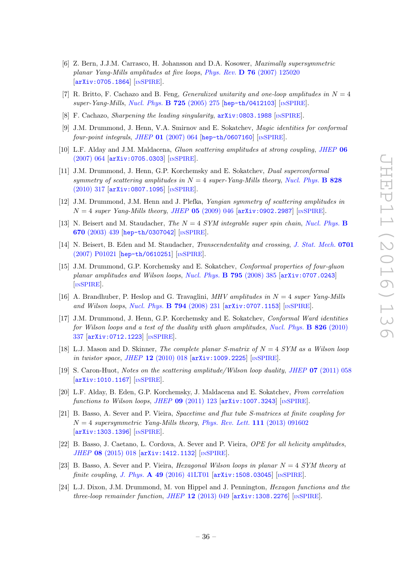- <span id="page-36-11"></span>[6] Z. Bern, J.J.M. Carrasco, H. Johansson and D.A. Kosower, Maximally supersymmetric planar Yang-Mills amplitudes at five loops, Phys. Rev. D 76 [\(2007\) 125020](http://dx.doi.org/10.1103/PhysRevD.76.125020) [[arXiv:0705.1864](https://arxiv.org/abs/0705.1864)] [IN[SPIRE](http://inspirehep.net/search?p=find+EPRINT+arXiv:0705.1864)].
- [7] R. Britto, F. Cachazo and B. Feng, *Generalized unitarity and one-loop amplitudes in*  $N = 4$ super-Yang-Mills, [Nucl. Phys.](http://dx.doi.org/10.1016/j.nuclphysb.2005.07.014) B 725 (2005) 275 [[hep-th/0412103](https://arxiv.org/abs/hep-th/0412103)] [IN[SPIRE](http://inspirehep.net/search?p=find+EPRINT+hep-th/0412103)].
- <span id="page-36-0"></span>[8] F. Cachazo, *Sharpening the leading singularity*,  $arXiv:0803.1988$  [IN[SPIRE](http://inspirehep.net/search?p=find+EPRINT+arXiv:0803.1988)].
- <span id="page-36-1"></span>[9] J.M. Drummond, J. Henn, V.A. Smirnov and E. Sokatchev, Magic identities for conformal  $four-point integrals, JHEP$  01 [\(2007\) 064](http://dx.doi.org/10.1088/1126-6708/2007/01/064) [[hep-th/0607160](https://arxiv.org/abs/hep-th/0607160)] [IN[SPIRE](http://inspirehep.net/search?p=find+EPRINT+hep-th/0607160)].
- [10] L.F. Alday and J.M. Maldacena, Gluon scattering amplitudes at strong coupling, [JHEP](http://dx.doi.org/10.1088/1126-6708/2007/06/064) 06 [\(2007\) 064](http://dx.doi.org/10.1088/1126-6708/2007/06/064) [[arXiv:0705.0303](https://arxiv.org/abs/0705.0303)] [IN[SPIRE](http://inspirehep.net/search?p=find+EPRINT+arXiv:0705.0303)].
- <span id="page-36-2"></span>[11] J.M. Drummond, J. Henn, G.P. Korchemsky and E. Sokatchev, Dual superconformal symmetry of scattering amplitudes in  $N = 4$  super-Yang-Mills theory, [Nucl. Phys.](http://dx.doi.org/10.1016/j.nuclphysb.2009.11.022) **B** 828 [\(2010\) 317](http://dx.doi.org/10.1016/j.nuclphysb.2009.11.022) [[arXiv:0807.1095](https://arxiv.org/abs/0807.1095)] [IN[SPIRE](http://inspirehep.net/search?p=find+EPRINT+arXiv:0807.1095)].
- <span id="page-36-3"></span>[12] J.M. Drummond, J.M. Henn and J. Plefka, Yangian symmetry of scattering amplitudes in  $N = 4$  super Yang-Mills theory, JHEP 05 [\(2009\) 046](http://dx.doi.org/10.1088/1126-6708/2009/05/046) [[arXiv:0902.2987](https://arxiv.org/abs/0902.2987)] [IN[SPIRE](http://inspirehep.net/search?p=find+EPRINT+arXiv:0902.2987)].
- <span id="page-36-4"></span>[13] N. Beisert and M. Staudacher, The  $N = 4$  SYM integrable super spin chain, [Nucl. Phys.](http://dx.doi.org/10.1016/j.nuclphysb.2003.08.015) B 670 [\(2003\) 439](http://dx.doi.org/10.1016/j.nuclphysb.2003.08.015) [[hep-th/0307042](https://arxiv.org/abs/hep-th/0307042)] [IN[SPIRE](http://inspirehep.net/search?p=find+EPRINT+hep-th/0307042)].
- <span id="page-36-5"></span>[14] N. Beisert, B. Eden and M. Staudacher, Transcendentality and crossing, [J. Stat. Mech.](http://dx.doi.org/10.1088/1742-5468/2007/01/P01021) 0701 [\(2007\) P01021](http://dx.doi.org/10.1088/1742-5468/2007/01/P01021) [[hep-th/0610251](https://arxiv.org/abs/hep-th/0610251)] [IN[SPIRE](http://inspirehep.net/search?p=find+EPRINT+hep-th/0610251)].
- <span id="page-36-6"></span>[15] J.M. Drummond, G.P. Korchemsky and E. Sokatchev, Conformal properties of four-gluon planar amplitudes and Wilson loops, [Nucl. Phys.](http://dx.doi.org/10.1016/j.nuclphysb.2007.11.041) B 795 (2008) 385 [[arXiv:0707.0243](https://arxiv.org/abs/0707.0243)] [IN[SPIRE](http://inspirehep.net/search?p=find+EPRINT+arXiv:0707.0243)].
- [16] A. Brandhuber, P. Heslop and G. Travaglini, MHV amplitudes in  $N = 4$  super Yang-Mills and Wilson loops, [Nucl. Phys.](http://dx.doi.org/10.1016/j.nuclphysb.2007.11.002) **B 794** (2008) 231 [[arXiv:0707.1153](https://arxiv.org/abs/0707.1153)] [IN[SPIRE](http://inspirehep.net/search?p=find+EPRINT+arXiv:0707.1153)].
- [17] J.M. Drummond, J. Henn, G.P. Korchemsky and E. Sokatchev, Conformal Ward identities for Wilson loops and a test of the duality with gluon amplitudes, [Nucl. Phys.](http://dx.doi.org/10.1016/j.nuclphysb.2009.10.013)  $\bf{B} 826$  (2010) [337](http://dx.doi.org/10.1016/j.nuclphysb.2009.10.013) [[arXiv:0712.1223](https://arxiv.org/abs/0712.1223)] [IN[SPIRE](http://inspirehep.net/search?p=find+EPRINT+arXiv:0712.1223)].
- [18] L.J. Mason and D. Skinner, The complete planar S-matrix of  $N = 4$  SYM as a Wilson loop in twistor space, JHEP 12 [\(2010\) 018](http://dx.doi.org/10.1007/JHEP12(2010)018) [[arXiv:1009.2225](https://arxiv.org/abs/1009.2225)] [IN[SPIRE](http://inspirehep.net/search?p=find+EPRINT+arXiv:1009.2225)].
- [19] S. Caron-Huot, Notes on the scattering amplitude/Wilson loop duality, JHEP 07 [\(2011\) 058](http://dx.doi.org/10.1007/JHEP07(2011)058) [[arXiv:1010.1167](https://arxiv.org/abs/1010.1167)] [IN[SPIRE](http://inspirehep.net/search?p=find+EPRINT+arXiv:1010.1167)].
- <span id="page-36-7"></span>[20] L.F. Alday, B. Eden, G.P. Korchemsky, J. Maldacena and E. Sokatchev, From correlation functions to Wilson loops, JHEP 09 [\(2011\) 123](http://dx.doi.org/10.1007/JHEP09(2011)123)  $arXiv:1007.3243$  [IN[SPIRE](http://inspirehep.net/search?p=find+EPRINT+arXiv:1007.3243)].
- <span id="page-36-8"></span>[21] B. Basso, A. Sever and P. Vieira, Spacetime and flux tube S-matrices at finite coupling for  $N = 4$  supersymmetric Yang-Mills theory, [Phys. Rev. Lett.](http://dx.doi.org/10.1103/PhysRevLett.111.091602) 111 (2013) 091602 [[arXiv:1303.1396](https://arxiv.org/abs/1303.1396)] [IN[SPIRE](http://inspirehep.net/search?p=find+EPRINT+arXiv:1303.1396)].
- [22] B. Basso, J. Caetano, L. Cordova, A. Sever and P. Vieira, OPE for all helicity amplitudes, JHEP 08 [\(2015\) 018](http://dx.doi.org/10.1007/JHEP08(2015)018) [[arXiv:1412.1132](https://arxiv.org/abs/1412.1132)] [IN[SPIRE](http://inspirehep.net/search?p=find+EPRINT+arXiv:1412.1132)].
- <span id="page-36-9"></span>[23] B. Basso, A. Sever and P. Vieira, *Hexagonal Wilson loops in planar*  $N = 4$  *SYM theory at* finite coupling, J. Phys.  $\bf{A}$  49 [\(2016\) 41LT01](http://dx.doi.org/10.1088/1751-8113/49/41/41LT01)  $\left[$ [arXiv:1508.03045](https://arxiv.org/abs/1508.03045) $\right]$   $\left[$ IN[SPIRE](http://inspirehep.net/search?p=find+EPRINT+arXiv:1508.03045) $\right]$ .
- <span id="page-36-10"></span>[24] L.J. Dixon, J.M. Drummond, M. von Hippel and J. Pennington, Hexagon functions and the three-loop remainder function, JHEP  $12$  [\(2013\) 049](http://dx.doi.org/10.1007/JHEP12(2013)049)  $\text{arXiv:1308.2276}$  $\text{arXiv:1308.2276}$  $\text{arXiv:1308.2276}$  [IN[SPIRE](http://inspirehep.net/search?p=find+EPRINT+arXiv:1308.2276)].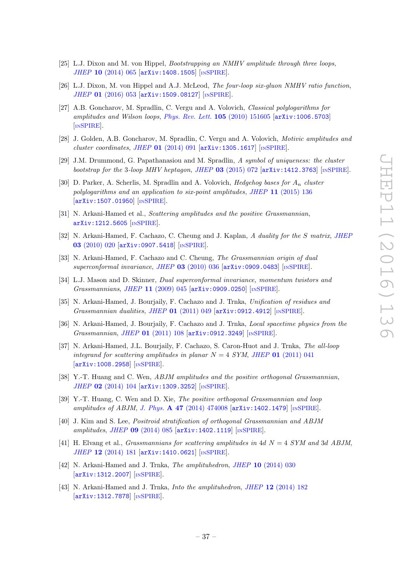- [25] L.J. Dixon and M. von Hippel, Bootstrapping an NMHV amplitude through three loops, JHEP 10 [\(2014\) 065](http://dx.doi.org/10.1007/JHEP10(2014)065) [[arXiv:1408.1505](https://arxiv.org/abs/1408.1505)] [IN[SPIRE](http://inspirehep.net/search?p=find+EPRINT+arXiv:1408.1505)].
- <span id="page-37-0"></span>[26] L.J. Dixon, M. von Hippel and A.J. McLeod, The four-loop six-gluon NMHV ratio function, JHEP 01 [\(2016\) 053](http://dx.doi.org/10.1007/JHEP01(2016)053) [[arXiv:1509.08127](https://arxiv.org/abs/1509.08127)] [IN[SPIRE](http://inspirehep.net/search?p=find+EPRINT+arXiv:1509.08127)].
- <span id="page-37-1"></span>[27] A.B. Goncharov, M. Spradlin, C. Vergu and A. Volovich, Classical polylogarithms for amplitudes and Wilson loops, [Phys. Rev. Lett.](http://dx.doi.org/10.1103/PhysRevLett.105.151605) 105 (2010) 151605 [[arXiv:1006.5703](https://arxiv.org/abs/1006.5703)] [IN[SPIRE](http://inspirehep.net/search?p=find+EPRINT+arXiv:1006.5703)].
- [28] J. Golden, A.B. Goncharov, M. Spradlin, C. Vergu and A. Volovich, Motivic amplitudes and  $cluster\ coordinates, JHEP$  01 [\(2014\) 091](http://dx.doi.org/10.1007/JHEP01(2014)091)  $[\text{arXiv:1305.1617}]$  $[\text{arXiv:1305.1617}]$  $[\text{arXiv:1305.1617}]$   $[\text{INSPIRE}]$  $[\text{INSPIRE}]$  $[\text{INSPIRE}]$ .
- [29] J.M. Drummond, G. Papathanasiou and M. Spradlin, A symbol of uniqueness: the cluster bootstrap for the 3-loop MHV heptagon, JHEP  $03$  [\(2015\) 072](http://dx.doi.org/10.1007/JHEP03(2015)072)  $\text{arXiv:1412.3763}$  $\text{arXiv:1412.3763}$  $\text{arXiv:1412.3763}$  [IN[SPIRE](http://inspirehep.net/search?p=find+EPRINT+arXiv:1412.3763)].
- <span id="page-37-2"></span>[30] D. Parker, A. Scherlis, M. Spradlin and A. Volovich, *Hedgehog bases for*  $A_n$  cluster polylogarithms and an application to six-point amplitudes, JHEP 11 [\(2015\) 136](http://dx.doi.org/10.1007/JHEP11(2015)136) [[arXiv:1507.01950](https://arxiv.org/abs/1507.01950)] [IN[SPIRE](http://inspirehep.net/search?p=find+EPRINT+arXiv:1507.01950)].
- <span id="page-37-3"></span>[31] N. Arkani-Hamed et al., Scattering amplitudes and the positive Grassmannian, [arXiv:1212.5605](https://arxiv.org/abs/1212.5605) [IN[SPIRE](http://inspirehep.net/search?p=find+EPRINT+arXiv:1212.5605)].
- <span id="page-37-9"></span>[32] N. Arkani-Hamed, F. Cachazo, C. Cheung and J. Kaplan, A duality for the S matrix, [JHEP](http://dx.doi.org/10.1007/JHEP03(2010)020) 03 [\(2010\) 020](http://dx.doi.org/10.1007/JHEP03(2010)020) [[arXiv:0907.5418](https://arxiv.org/abs/0907.5418)] [IN[SPIRE](http://inspirehep.net/search?p=find+EPRINT+arXiv:0907.5418)].
- [33] N. Arkani-Hamed, F. Cachazo and C. Cheung, The Grassmannian origin of dual superconformal invariance, JHEP 03 [\(2010\) 036](http://dx.doi.org/10.1007/JHEP03(2010)036) [[arXiv:0909.0483](https://arxiv.org/abs/0909.0483)] [IN[SPIRE](http://inspirehep.net/search?p=find+EPRINT+arXiv:0909.0483)].
- <span id="page-37-10"></span>[34] L.J. Mason and D. Skinner, Dual superconformal invariance, momentum twistors and Grassmannians, JHEP 11 [\(2009\) 045](http://dx.doi.org/10.1088/1126-6708/2009/11/045) [[arXiv:0909.0250](https://arxiv.org/abs/0909.0250)] [IN[SPIRE](http://inspirehep.net/search?p=find+EPRINT+arXiv:0909.0250)].
- [35] N. Arkani-Hamed, J. Bourjaily, F. Cachazo and J. Trnka, Unification of residues and Grassmannian dualities, JHEP 01 [\(2011\) 049](http://dx.doi.org/10.1007/JHEP01(2011)049) [[arXiv:0912.4912](https://arxiv.org/abs/0912.4912)] [IN[SPIRE](http://inspirehep.net/search?p=find+EPRINT+arXiv:0912.4912)].
- [36] N. Arkani-Hamed, J. Bourjaily, F. Cachazo and J. Trnka, Local spacetime physics from the Grassmannian, JHEP 01 [\(2011\) 108](http://dx.doi.org/10.1007/JHEP01(2011)108) [[arXiv:0912.3249](https://arxiv.org/abs/0912.3249)] [IN[SPIRE](http://inspirehep.net/search?p=find+EPRINT+arXiv:0912.3249)].
- <span id="page-37-4"></span>[37] N. Arkani-Hamed, J.L. Bourjaily, F. Cachazo, S. Caron-Huot and J. Trnka, The all-loop integrand for scattering amplitudes in planar  $N = 4$  SYM, JHEP 01 [\(2011\) 041](http://dx.doi.org/10.1007/JHEP01(2011)041) [[arXiv:1008.2958](https://arxiv.org/abs/1008.2958)] [IN[SPIRE](http://inspirehep.net/search?p=find+EPRINT+arXiv:1008.2958)].
- <span id="page-37-5"></span>[38] Y.-T. Huang and C. Wen, ABJM amplitudes and the positive orthogonal Grassmannian, JHEP 02 [\(2014\) 104](http://dx.doi.org/10.1007/JHEP02(2014)104) [[arXiv:1309.3252](https://arxiv.org/abs/1309.3252)] [IN[SPIRE](http://inspirehep.net/search?p=find+EPRINT+arXiv:1309.3252)].
- [39] Y.-T. Huang, C. Wen and D. Xie, The positive orthogonal Grassmannian and loop amplitudes of ABJM, J. Phys.  $\bf{A}$  47 [\(2014\) 474008](http://dx.doi.org/10.1088/1751-8113/47/47/474008) [[arXiv:1402.1479](https://arxiv.org/abs/1402.1479)] [IN[SPIRE](http://inspirehep.net/search?p=find+EPRINT+arXiv:1402.1479)].
- [40] J. Kim and S. Lee, Positroid stratification of orthogonal Grassmannian and ABJM amplitudes, JHEP 09 [\(2014\) 085](http://dx.doi.org/10.1007/JHEP09(2014)085) [[arXiv:1402.1119](https://arxiv.org/abs/1402.1119)] [IN[SPIRE](http://inspirehep.net/search?p=find+EPRINT+arXiv:1402.1119)].
- <span id="page-37-6"></span>[41] H. Elvang et al., *Grassmannians for scattering amplitudes in 4d N = 4 SYM and 3d ABJM*, JHEP 12 [\(2014\) 181](http://dx.doi.org/10.1007/JHEP12(2014)181) [[arXiv:1410.0621](https://arxiv.org/abs/1410.0621)] [IN[SPIRE](http://inspirehep.net/search?p=find+EPRINT+arXiv:1410.0621)].
- <span id="page-37-7"></span>[42] N. Arkani-Hamed and J. Trnka, *The amplituhedron*, *JHEP* 10 [\(2014\) 030](http://dx.doi.org/10.1007/JHEP10(2014)030) [[arXiv:1312.2007](https://arxiv.org/abs/1312.2007)] [IN[SPIRE](http://inspirehep.net/search?p=find+EPRINT+arXiv:1312.2007)].
- <span id="page-37-8"></span>[43] N. Arkani-Hamed and J. Trnka, *Into the amplituhedron*, *JHEP* 12 [\(2014\) 182](http://dx.doi.org/10.1007/JHEP12(2014)182) [[arXiv:1312.7878](https://arxiv.org/abs/1312.7878)] [IN[SPIRE](http://inspirehep.net/search?p=find+EPRINT+arXiv:1312.7878)].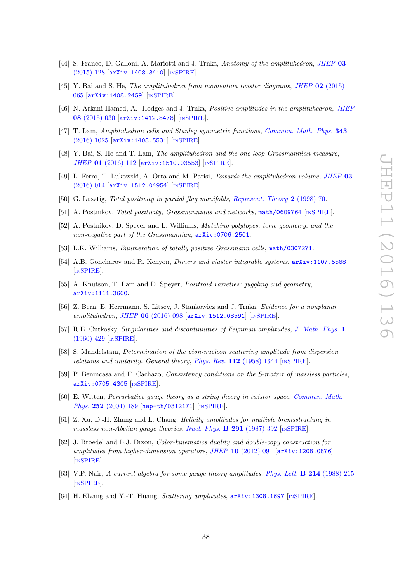- [44] S. Franco, D. Galloni, A. Mariotti and J. Trnka, Anatomy of the amplituhedron, [JHEP](http://dx.doi.org/10.1007/JHEP03(2015)128) 03 [\(2015\) 128](http://dx.doi.org/10.1007/JHEP03(2015)128) [[arXiv:1408.3410](https://arxiv.org/abs/1408.3410)] [IN[SPIRE](http://inspirehep.net/search?p=find+EPRINT+arXiv:1408.3410)].
- [45] Y. Bai and S. He, The amplituhedron from momentum twistor diagrams, JHEP 02 [\(2015\)](http://dx.doi.org/10.1007/JHEP02(2015)065) [065](http://dx.doi.org/10.1007/JHEP02(2015)065) [[arXiv:1408.2459](https://arxiv.org/abs/1408.2459)] [IN[SPIRE](http://inspirehep.net/search?p=find+EPRINT+arXiv:1408.2459)].
- <span id="page-38-13"></span>[46] N. Arkani-Hamed, A. Hodges and J. Trnka, *Positive amplitudes in the amplituhedron*, *[JHEP](http://dx.doi.org/10.1007/JHEP08(2015)030)* 08 [\(2015\) 030](http://dx.doi.org/10.1007/JHEP08(2015)030) [[arXiv:1412.8478](https://arxiv.org/abs/1412.8478)] [IN[SPIRE](http://inspirehep.net/search?p=find+EPRINT+arXiv:1412.8478)].
- [47] T. Lam, Amplituhedron cells and Stanley symmetric functions, [Commun. Math. Phys.](http://dx.doi.org/10.1007/s00220-016-2602-2) 343 [\(2016\) 1025](http://dx.doi.org/10.1007/s00220-016-2602-2) [[arXiv:1408.5531](https://arxiv.org/abs/1408.5531)] [IN[SPIRE](http://inspirehep.net/search?p=find+EPRINT+arXiv:1408.5531)].
- [48] Y. Bai, S. He and T. Lam, The amplituhedron and the one-loop Grassmannian measure, JHEP 01 [\(2016\) 112](http://dx.doi.org/10.1007/JHEP01(2016)112) [[arXiv:1510.03553](https://arxiv.org/abs/1510.03553)] [IN[SPIRE](http://inspirehep.net/search?p=find+EPRINT+arXiv:1510.03553)].
- <span id="page-38-0"></span>[49] L. Ferro, T. Lukowski, A. Orta and M. Parisi, Towards the amplituhedron volume, [JHEP](http://dx.doi.org/10.1007/JHEP03(2016)014) 03 [\(2016\) 014](http://dx.doi.org/10.1007/JHEP03(2016)014) [[arXiv:1512.04954](https://arxiv.org/abs/1512.04954)] [IN[SPIRE](http://inspirehep.net/search?p=find+EPRINT+arXiv:1512.04954)].
- <span id="page-38-1"></span>[50] G. Lusztig, Total positivity in partial flag manifolds, [Represent. Theory](http://dx.doi.org/10.1090/S1088-4165-98-00046-6) 2 (1998) 70.
- <span id="page-38-12"></span>[51] A. Postnikov, Total positivity, Grassmannians and networks, [math/0609764](https://arxiv.org/abs/math/0609764) [IN[SPIRE](http://inspirehep.net/search?p=find+EPRINT+math/0609764)].
- [52] A. Postnikov, D. Speyer and L. Williams, Matching polytopes, toric geometry, and the non-negative part of the Grassmannian,  $arXiv:0706.2501$ .
- [53] L.K. Williams, Enumeration of totally positive Grassmann cells, [math/0307271](https://arxiv.org/abs/math/0307271).
- [54] A.B. Goncharov and R. Kenyon, Dimers and cluster integrable systems, [arXiv:1107.5588](https://arxiv.org/abs/1107.5588) [IN[SPIRE](http://inspirehep.net/search?p=find+EPRINT+arXiv:1107.5588)].
- <span id="page-38-2"></span>[55] A. Knutson, T. Lam and D. Speyer, *Positroid varieties: juggling and geometry*, [arXiv:1111.3660](https://arxiv.org/abs/1111.3660).
- <span id="page-38-3"></span>[56] Z. Bern, E. Herrmann, S. Litsey, J. Stankowicz and J. Trnka, Evidence for a nonplanar amplituhedron, JHEP 06 [\(2016\) 098](http://dx.doi.org/10.1007/JHEP06(2016)098) [[arXiv:1512.08591](https://arxiv.org/abs/1512.08591)] [IN[SPIRE](http://inspirehep.net/search?p=find+EPRINT+arXiv:1512.08591)].
- <span id="page-38-4"></span>[57] R.E. Cutkosky, *Singularities and discontinuities of Feynman amplitudes, [J. Math. Phys.](http://dx.doi.org/10.1063/1.1703676)* 1 [\(1960\) 429](http://dx.doi.org/10.1063/1.1703676) [IN[SPIRE](http://inspirehep.net/search?p=find+J+%22J.Math.Phys.,1,429%22)].
- <span id="page-38-5"></span>[58] S. Mandelstam, Determination of the pion-nucleon scattering amplitude from dispersion relations and unitarity. General theory, Phys. Rev.  $112$  [\(1958\) 1344](http://dx.doi.org/10.1103/PhysRev.112.1344) [IN[SPIRE](http://inspirehep.net/search?p=find+J+%22Phys.Rev.,112,1344%22)].
- <span id="page-38-6"></span>[59] P. Benincasa and F. Cachazo, Consistency conditions on the S-matrix of massless particles, [arXiv:0705.4305](https://arxiv.org/abs/0705.4305) [IN[SPIRE](http://inspirehep.net/search?p=find+EPRINT+arXiv:0705.4305)].
- <span id="page-38-7"></span>[60] E. Witten, Perturbative gauge theory as a string theory in twistor space, [Commun. Math.](http://dx.doi.org/10.1007/s00220-004-1187-3) Phys. 252 [\(2004\) 189](http://dx.doi.org/10.1007/s00220-004-1187-3) [[hep-th/0312171](https://arxiv.org/abs/hep-th/0312171)] [IN[SPIRE](http://inspirehep.net/search?p=find+EPRINT+hep-th/0312171)].
- <span id="page-38-8"></span>[61] Z. Xu, D.-H. Zhang and L. Chang, Helicity amplitudes for multiple bremsstrahlung in massless non-Abelian gauge theories, [Nucl. Phys.](http://dx.doi.org/10.1016/0550-3213(87)90479-2)  $\bf{B}$  291 (1987) 392 [IN[SPIRE](http://inspirehep.net/search?p=find+J+%22Nucl.Phys.,B291,392%22)].
- <span id="page-38-9"></span>[62] J. Broedel and L.J. Dixon, Color-kinematics duality and double-copy construction for amplitudes from higher-dimension operators, JHEP 10 [\(2012\) 091](http://dx.doi.org/10.1007/JHEP10(2012)091) [[arXiv:1208.0876](https://arxiv.org/abs/1208.0876)] [IN[SPIRE](http://inspirehep.net/search?p=find+EPRINT+arXiv:1208.0876)].
- <span id="page-38-10"></span>[63] V.P. Nair, A current algebra for some gauge theory amplitudes, [Phys. Lett.](http://dx.doi.org/10.1016/0370-2693(88)91471-2) B 214 (1988) 215 [IN[SPIRE](http://inspirehep.net/search?p=find+J+%22Phys.Lett.,B214,215%22)].
- <span id="page-38-11"></span>[64] H. Elvang and Y.-T. Huang, *Scattering amplitudes*,  $arXiv:1308.1697$  [IN[SPIRE](http://inspirehep.net/search?p=find+EPRINT+arXiv:1308.1697)].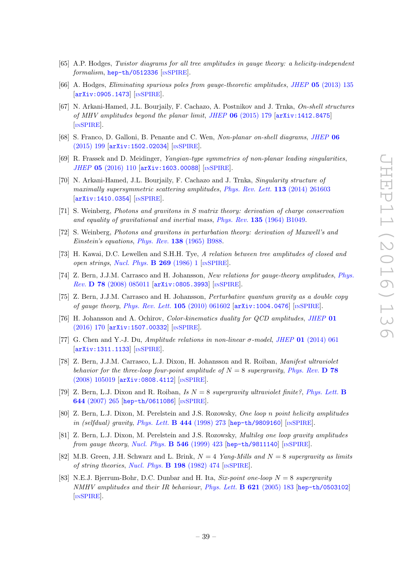- <span id="page-39-0"></span>[65] A.P. Hodges, Twistor diagrams for all tree amplitudes in gauge theory: a helicity-independent formalism, [hep-th/0512336](https://arxiv.org/abs/hep-th/0512336) [IN[SPIRE](http://inspirehep.net/search?p=find+EPRINT+hep-th/0512336)].
- <span id="page-39-1"></span>[66] A. Hodges, Eliminating spurious poles from gauge-theoretic amplitudes, JHEP 05 [\(2013\) 135](http://dx.doi.org/10.1007/JHEP05(2013)135) [[arXiv:0905.1473](https://arxiv.org/abs/0905.1473)] [IN[SPIRE](http://inspirehep.net/search?p=find+EPRINT+arXiv:0905.1473)].
- <span id="page-39-2"></span>[67] N. Arkani-Hamed, J.L. Bourjaily, F. Cachazo, A. Postnikov and J. Trnka, On-shell structures of MHV amplitudes beyond the planar limit, JHEP  $06$  [\(2015\) 179](http://dx.doi.org/10.1007/JHEP06(2015)179) [[arXiv:1412.8475](https://arxiv.org/abs/1412.8475)] [IN[SPIRE](http://inspirehep.net/search?p=find+EPRINT+arXiv:1412.8475)].
- <span id="page-39-3"></span>[68] S. Franco, D. Galloni, B. Penante and C. Wen, Non-planar on-shell diagrams, [JHEP](http://dx.doi.org/10.1007/JHEP06(2015)199) 06 [\(2015\) 199](http://dx.doi.org/10.1007/JHEP06(2015)199) [[arXiv:1502.02034](https://arxiv.org/abs/1502.02034)] [IN[SPIRE](http://inspirehep.net/search?p=find+EPRINT+arXiv:1502.02034)].
- <span id="page-39-4"></span>[69] R. Frassek and D. Meidinger, Yangian-type symmetries of non-planar leading singularities, JHEP 05 [\(2016\) 110](http://dx.doi.org/10.1007/JHEP05(2016)110) [[arXiv:1603.00088](https://arxiv.org/abs/1603.00088)] [IN[SPIRE](http://inspirehep.net/search?p=find+J+%22JHEP,1605,110%22)].
- <span id="page-39-5"></span>[70] N. Arkani-Hamed, J.L. Bourjaily, F. Cachazo and J. Trnka, Singularity structure of maximally supersymmetric scattering amplitudes, [Phys. Rev. Lett.](http://dx.doi.org/10.1103/PhysRevLett.113.261603) 113 (2014) 261603 [[arXiv:1410.0354](https://arxiv.org/abs/1410.0354)] [IN[SPIRE](http://inspirehep.net/search?p=find+EPRINT+arXiv:1410.0354)].
- <span id="page-39-6"></span>[71] S. Weinberg, Photons and gravitons in S matrix theory: derivation of charge conservation and equality of gravitational and inertial mass, Phys. Rev. 135 [\(1964\) B1049.](http://dx.doi.org/10.1103/PhysRev.135.B1049)
- <span id="page-39-7"></span>[72] S. Weinberg, Photons and gravitons in perturbation theory: derivation of Maxwell's and Einstein's equations, Phys. Rev. 138 [\(1965\) B988.](http://dx.doi.org/10.1103/PhysRev.138.B988)
- <span id="page-39-8"></span>[73] H. Kawai, D.C. Lewellen and S.H.H. Tye, A relation between tree amplitudes of closed and open strings, [Nucl. Phys.](http://dx.doi.org/10.1016/0550-3213(86)90362-7)  $\bf{B}$  269 (1986) 1 [IN[SPIRE](http://inspirehep.net/search?p=find+J+%22Nucl.Phys.,B269,1%22)].
- <span id="page-39-9"></span>[74] Z. Bern, J.J.M. Carrasco and H. Johansson, New relations for gauge-theory amplitudes, [Phys.](http://dx.doi.org/10.1103/PhysRevD.78.085011) Rev. D 78 [\(2008\) 085011](http://dx.doi.org/10.1103/PhysRevD.78.085011) [[arXiv:0805.3993](https://arxiv.org/abs/0805.3993)] [IN[SPIRE](http://inspirehep.net/search?p=find+EPRINT+arXiv:0805.3993)].
- <span id="page-39-10"></span>[75] Z. Bern, J.J.M. Carrasco and H. Johansson, Perturbative quantum gravity as a double copy of gauge theory, [Phys. Rev. Lett.](http://dx.doi.org/10.1103/PhysRevLett.105.061602) 105 (2010) 061602 [[arXiv:1004.0476](https://arxiv.org/abs/1004.0476)] [IN[SPIRE](http://inspirehep.net/search?p=find+EPRINT+arXiv:1004.0476)].
- <span id="page-39-11"></span>[76] H. Johansson and A. Ochirov, Color-kinematics duality for QCD amplitudes, [JHEP](http://dx.doi.org/10.1007/JHEP01(2016)170) 01 [\(2016\) 170](http://dx.doi.org/10.1007/JHEP01(2016)170) [[arXiv:1507.00332](https://arxiv.org/abs/1507.00332)] [IN[SPIRE](http://inspirehep.net/search?p=find+EPRINT+arXiv:1507.00332)].
- <span id="page-39-12"></span>[77] G. Chen and Y.-J. Du, Amplitude relations in non-linear  $\sigma$ -model, JHEP 01 [\(2014\) 061](http://dx.doi.org/10.1007/JHEP01(2014)061) [[arXiv:1311.1133](https://arxiv.org/abs/1311.1133)] [IN[SPIRE](http://inspirehep.net/search?p=find+EPRINT+arXiv:1311.1133)].
- <span id="page-39-13"></span>[78] Z. Bern, J.J.M. Carrasco, L.J. Dixon, H. Johansson and R. Roiban, Manifest ultraviolet behavior for the three-loop four-point amplitude of  $N = 8$  supergravity, [Phys. Rev.](http://dx.doi.org/10.1103/PhysRevD.78.105019) D 78 [\(2008\) 105019](http://dx.doi.org/10.1103/PhysRevD.78.105019) [[arXiv:0808.4112](https://arxiv.org/abs/0808.4112)] [IN[SPIRE](http://inspirehep.net/search?p=find+EPRINT+arXiv:0808.4112)].
- <span id="page-39-14"></span>[79] Z. Bern, L.J. Dixon and R. Roiban, Is  $N = 8$  supergravity ultraviolet finite?, [Phys. Lett.](http://dx.doi.org/10.1016/j.physletb.2006.11.030) **B** 644 [\(2007\) 265](http://dx.doi.org/10.1016/j.physletb.2006.11.030) [[hep-th/0611086](https://arxiv.org/abs/hep-th/0611086)] [IN[SPIRE](http://inspirehep.net/search?p=find+EPRINT+hep-th/0611086)].
- <span id="page-39-15"></span>[80] Z. Bern, L.J. Dixon, M. Perelstein and J.S. Rozowsky, One loop n point helicity amplitudes in (selfdual) gravity, [Phys. Lett.](http://dx.doi.org/10.1016/S0370-2693(98)01397-5)  $\bf{B}$  444 (1998) 273 [[hep-th/9809160](https://arxiv.org/abs/hep-th/9809160)] [IN[SPIRE](http://inspirehep.net/search?p=find+EPRINT+hep-th/9809160)].
- <span id="page-39-16"></span>[81] Z. Bern, L.J. Dixon, M. Perelstein and J.S. Rozowsky, Multileg one loop gravity amplitudes from gauge theory, [Nucl. Phys.](http://dx.doi.org/10.1016/S0550-3213(99)00029-2)  $\bf{B}$  546 (1999) 423 [[hep-th/9811140](https://arxiv.org/abs/hep-th/9811140)] [IN[SPIRE](http://inspirehep.net/search?p=find+EPRINT+hep-th/9811140)].
- <span id="page-39-17"></span>[82] M.B. Green, J.H. Schwarz and L. Brink,  $N = 4$  Yang-Mills and  $N = 8$  supergravity as limits of string theories, [Nucl. Phys.](http://dx.doi.org/10.1016/0550-3213(82)90336-4) B 198 (1982) 474 [IN[SPIRE](http://inspirehep.net/search?p=find+J+%22Nucl.Phys.,B198,474%22)].
- <span id="page-39-18"></span>[83] N.E.J. Bjerrum-Bohr, D.C. Dunbar and H. Ita, Six-point one-loop  $N = 8$  supergravity NMHV amplitudes and their IR behaviour, [Phys. Lett.](http://dx.doi.org/10.1016/j.physletb.2005.05.071)  $\bf{B}$  621 (2005) 183 [[hep-th/0503102](https://arxiv.org/abs/hep-th/0503102)] [IN[SPIRE](http://inspirehep.net/search?p=find+EPRINT+hep-th/0503102)].